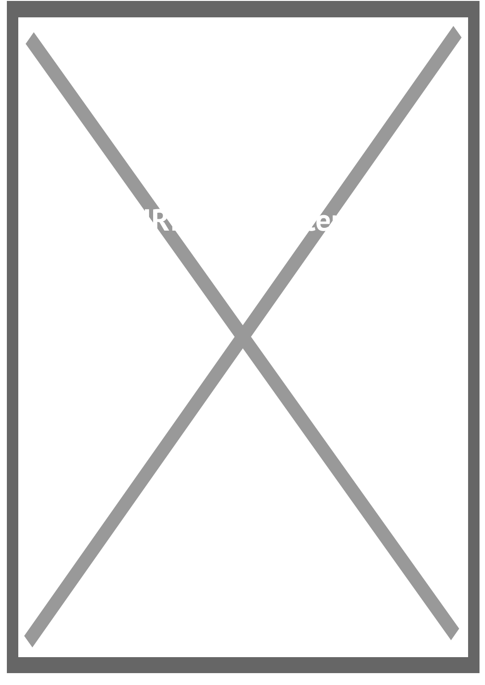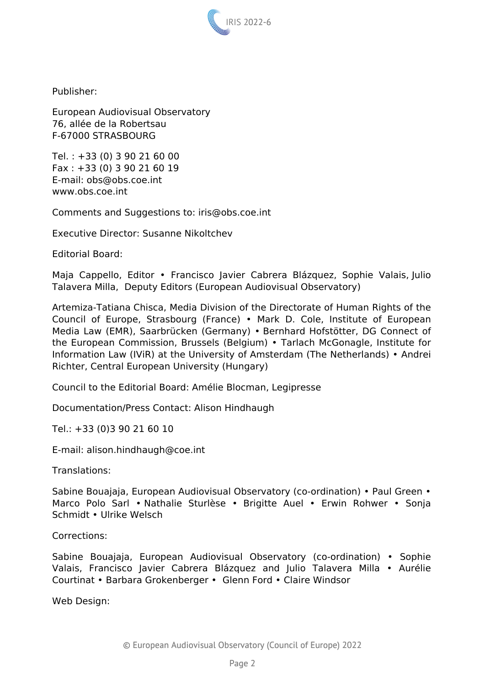

Publisher:

European Audiovisual Observatory 76, allée de la Robertsau F-67000 STRASBOURG

Tel. : +33 (0) 3 90 21 60 00 Fax : +33 (0) 3 90 21 60 19 E-mail: obs@obs.coe.int www.obs.coe.int

Comments and Suggestions to: iris@obs.coe.int

Executive Director: Susanne Nikoltchev

Editorial Board:

Maja Cappello, Editor • Francisco Javier Cabrera Blázquez, Sophie Valais, Julio Talavera Milla, Deputy Editors (European Audiovisual Observatory)

Artemiza-Tatiana Chisca, Media Division of the Directorate of Human Rights of the Council of Europe, Strasbourg (France) • Mark D. Cole, Institute of European Media Law (EMR), Saarbrücken (Germany) • Bernhard Hofstötter, DG Connect of the European Commission, Brussels (Belgium) • Tarlach McGonagle, Institute for Information Law (IViR) at the University of Amsterdam (The Netherlands) • Andrei Richter, Central European University (Hungary)

Council to the Editorial Board: Amélie Blocman, Legipresse

Documentation/Press Contact: Alison Hindhaugh

Tel.: +33 (0)3 90 21 60 10

E-mail: alison.hindhaugh@coe.int

Translations:

Sabine Bouajaja, European Audiovisual Observatory (co-ordination) • Paul Green • Marco Polo Sarl • Nathalie Sturlèse • Brigitte Auel • Erwin Rohwer • Sonja Schmidt • Ulrike Welsch

Corrections:

Sabine Bouajaja, European Audiovisual Observatory (co-ordination) • Sophie Valais, Francisco Javier Cabrera Blázquez and Julio Talavera Milla • Aurélie Courtinat • Barbara Grokenberger • Glenn Ford • Claire Windsor

Web Design: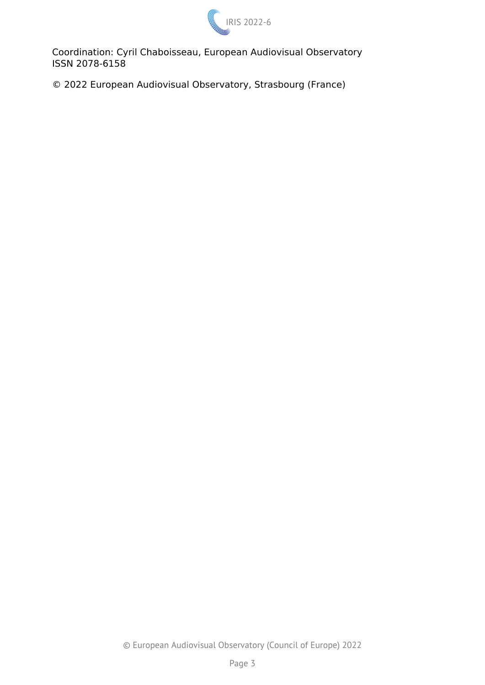

Coordination: Cyril Chaboisseau, European Audiovisual Observatory ISSN 2078-6158

© 2022 European Audiovisual Observatory, Strasbourg (France)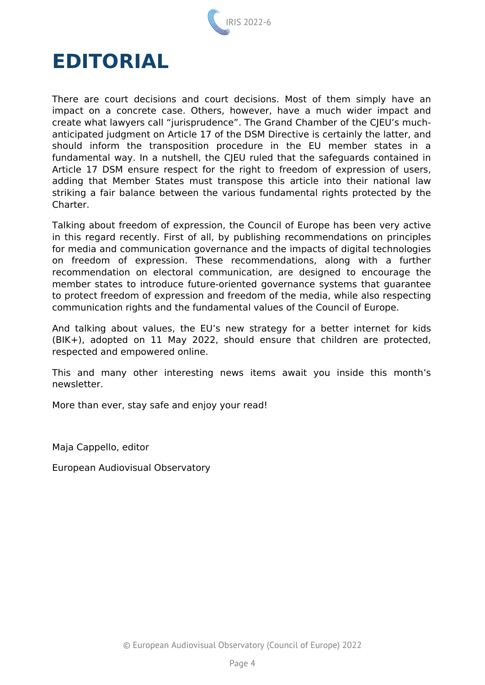

# **EDITORIAL**

There are court decisions and court decisions. Most of them simply have an impact on a concrete case. Others, however, have a much wider impact and create what lawyers call "jurisprudence". The Grand Chamber of the CJEU's muchanticipated judgment on Article 17 of the DSM Directive is certainly the latter, and should inform the transposition procedure in the EU member states in a fundamental way. In a nutshell, the CJEU ruled that the safeguards contained in Article 17 DSM ensure respect for the right to freedom of expression of users, adding that Member States must transpose this article into their national law striking a fair balance between the various fundamental rights protected by the Charter.

Talking about freedom of expression, the Council of Europe has been very active in this regard recently. First of all, by publishing recommendations on principles for media and communication governance and the impacts of digital technologies on freedom of expression. These recommendations, along with a further recommendation on electoral communication, are designed to encourage the member states to introduce future-oriented governance systems that guarantee to protect freedom of expression and freedom of the media, while also respecting communication rights and the fundamental values of the Council of Europe.

And talking about values, the EU's new strategy for a better internet for kids (BIK+), adopted on 11 May 2022, should ensure that children are protected, respected and empowered online.

This and many other interesting news items await you inside this month's newsletter.

More than ever, stay safe and enjoy your read!

Maja Cappello, editor

European Audiovisual Observatory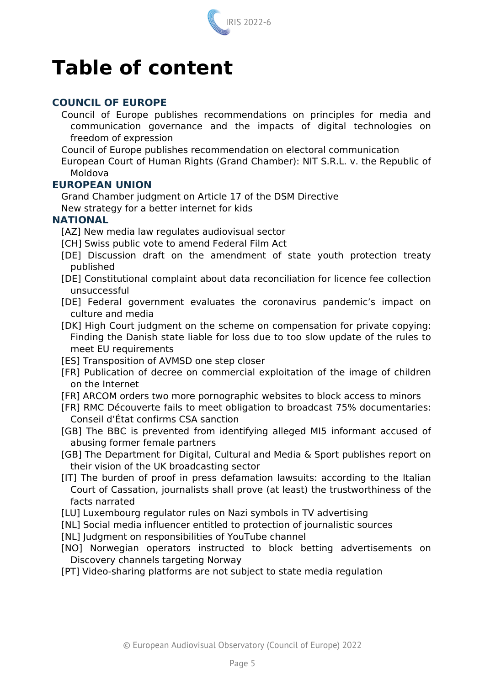## Table of content

#### [COUNCIL OF EUR](#page-5-0)OPE

[Council of Europe publishes recommendations on p](#page-7-0)rinciples [communication governance and the impacts of](#page-7-0) digital [freedom of expr](#page-7-0)ession

[Council of Europe publishes recommendation on elec](#page-5-0)toral commu [European Court of Human Rights \(Grand Chamber\): NIT S](#page-10-0).R.L. v. [Moldo](#page-10-0)va

#### [EUROPEAN UN](#page-15-0)ION

[Grand Chamber judgment on Article 17 of t](#page-15-0)he DSM Directive [New strategy for a better inte](#page-17-0)rnet for kids

#### [NATIONA](#page-19-0)L

[\[AZ\] New media law regulates audi](#page-19-0)ovisual sector

[\[CH\] Swiss public vote to amend Fe](#page-21-0)deral Film Act

[\[DE\] Discussion draft on the amendment of state](#page-25-0) youth [publish](#page-25-0)ed

[\[DE\] Constitutional complaint about data reconciliation f](#page-23-0)or licen [unsucces](#page-23-0)sful

[\[DE\] Federal government evaluates the coronavirus](#page-27-0) pander [culture and m](#page-27-0)edia

[\[DK\] High Court judgment on the scheme on compensati](#page-29-0)on for p [Finding the Danish state liable for loss due to too slo](#page-29-0)w update [meet EU require](#page-29-0)ments

[\[ES\] Transposition of AVMSD on](#page-31-0)e step closer

[\[FR\] Publication of decree on commercial exploitation](#page-35-0) of the i [on the Inte](#page-35-0)rnet

[\[FR\] ARCOM orders two more pornographic websites to](#page-33-0) block acc

[\[FR\] RMC Découverte fails to meet obligation to broadc](#page-37-0)ast 75% [Conseil d État confirms CS](#page-37-0)A sanction

[\[GB\] The BBC is prevented from identifying alleged M](#page-41-0)I5 infor [abusing former female](#page-41-0) partners

[\[GB\] The Department for Digital, Cultural and Media & S](#page-38-0)port pub [their vision of the UK broadc](#page-38-0)asting sector

[\[IT\] The burden of proof in press defamation lawsuits:](#page-43-0) accord [Court of Cassation, journalists shall prove \(at least\) t](#page-43-0)he trust [facts narr](#page-43-0)ated

[\[LU\] Luxembourg regulator rules on Nazi symbo](#page-45-0)ls in TV advertisi

[\[NL\] Social media influencer entitled to protection](#page-49-0) of journalistic

[\[NL\] Judgment on responsibilities of Y](#page-47-0)ouTube channel

[\[NO\] Norwegian operators instructed to block be](#page-51-0)tting a [Discovery channels targeti](#page-51-0)ng Norway

[\[PT\] Video-sharing platforms are not subject to st](#page-54-0)ate media regulations.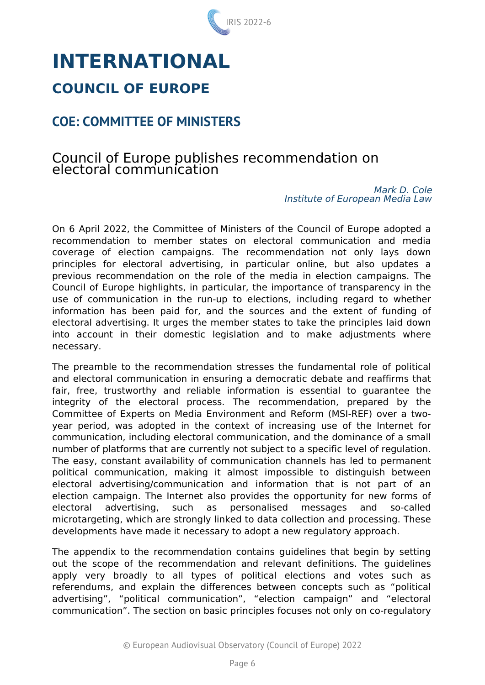

# <span id="page-5-0"></span>**INTERNATIONAL COUNCIL OF EUROPE**

## **COE: COMMITTEE OF MINISTERS**

## Council of Europe publishes recommendation on electoral communication

*Mark D. Cole Institute of European Media Law*

On 6 April 2022, the Committee of Ministers of the Council of Europe adopted a recommendation to member states on electoral communication and media coverage of election campaigns. The recommendation not only lays down principles for electoral advertising, in particular online, but also updates a previous recommendation on the role of the media in election campaigns. The Council of Europe highlights, in particular, the importance of transparency in the use of communication in the run-up to elections, including regard to whether information has been paid for, and the sources and the extent of funding of electoral advertising. It urges the member states to take the principles laid down into account in their domestic legislation and to make adjustments where necessary.

The preamble to the recommendation stresses the fundamental role of political and electoral communication in ensuring a democratic debate and reaffirms that fair, free, trustworthy and reliable information is essential to guarantee the integrity of the electoral process. The recommendation, prepared by the Committee of Experts on Media Environment and Reform (MSI-REF) over a twoyear period, was adopted in the context of increasing use of the Internet for communication, including electoral communication, and the dominance of a small number of platforms that are currently not subject to a specific level of regulation. The easy, constant availability of communication channels has led to permanent political communication, making it almost impossible to distinguish between electoral advertising/communication and information that is not part of an election campaign. The Internet also provides the opportunity for new forms of electoral advertising, such as personalised messages and so-called microtargeting, which are strongly linked to data collection and processing. These developments have made it necessary to adopt a new regulatory approach.

The appendix to the recommendation contains guidelines that begin by setting out the scope of the recommendation and relevant definitions. The guidelines apply very broadly to all types of political elections and votes such as referendums, and explain the differences between concepts such as "political advertising", "political communication", "election campaign" and "electoral communication". The section on basic principles focuses not only on co-regulatory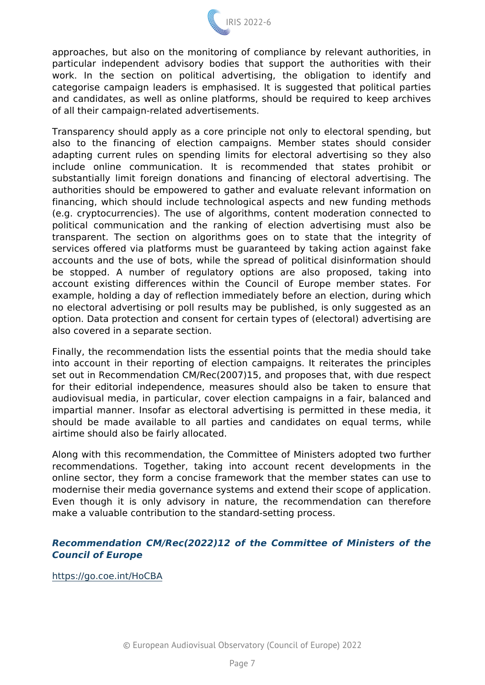approaches, but also on the monitoring of compliance by releva particular independent advisory bodies that support the auth work. In the section on political advertising, the obligation categorise campaign leaders is emphasised. It is suggested that and candidates, as well as online platforms, should be required of all their campaign-related advertisements.

Transparency should apply as a core principle not only to electoral also to the financing of election campaigns. Member state adapting current rules on spending limits for electoral adverti include online communication. It is recommended that substantially limit foreign donations and financing of electoral authorities should be empowered to gather and evaluate relevant financing, which should include technological aspects and new (e.g. cryptocurrencies). The use of algorithms, content moderat political communication and the ranking of election advertis transparent. The section on algorithms goes on to state that services offered via platforms must be guaranteed by taking action accounts and the use of bots, while the spread of political disi be stopped. A number of regulatory options are also pro account existing differences within the Council of Europe m example, holding a day of reflection immediately before an electi no electoral advertising or poll results may be published, is only option. Data protection and consent for certain types of (electoral also covered in a separate section.

Finally, the recommendation lists the essential points that the m into account in their reporting of election campaigns. It reiteration set out in Recommendation CM/Rec(2007)15, and proposes that, w for their editorial independence, measures should also be take audiovisual media, in particular, cover election campaigns in a f impartial manner. Insofar as electoral advertising is permitted i should be made available to all parties and candidates on  $\epsilon$ airtime should also be fairly allocated.

Along with this recommendation, the Committee of Ministers adop recommendations. Together, taking into account recent deve online sector, they form a concise framework that the member s modernise their media governance systems and extend their scope Even though it is only advisory in nature, the recommendat make a valuable contribution to the standard-setting process.

Recommendation CM/Rec(2022)12 of the Committee of Ministers Council of Europe

[https://go.coe.int](https://go.coe.int/HoCBA)/HoCBA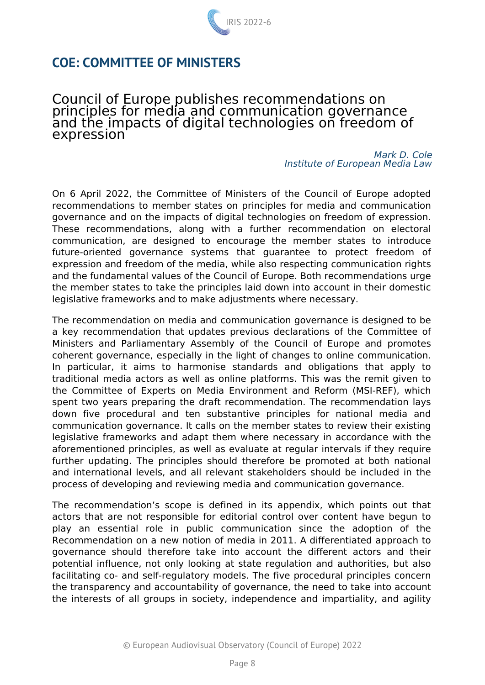

## <span id="page-7-0"></span>**COE: COMMITTEE OF MINISTERS**

Council of Europe publishes recommendations on principles for media and communication governance and the impacts of digital technologies on freedom of expression

> *Mark D. Cole Institute of European Media Law*

On 6 April 2022, the Committee of Ministers of the Council of Europe adopted recommendations to member states on principles for media and communication governance and on the impacts of digital technologies on freedom of expression. These recommendations, along with a further recommendation on electoral communication, are designed to encourage the member states to introduce future-oriented governance systems that guarantee to protect freedom of expression and freedom of the media, while also respecting communication rights and the fundamental values of the Council of Europe. Both recommendations urge the member states to take the principles laid down into account in their domestic legislative frameworks and to make adjustments where necessary.

The recommendation on media and communication governance is designed to be a key recommendation that updates previous declarations of the Committee of Ministers and Parliamentary Assembly of the Council of Europe and promotes coherent governance, especially in the light of changes to online communication. In particular, it aims to harmonise standards and obligations that apply to traditional media actors as well as online platforms. This was the remit given to the Committee of Experts on Media Environment and Reform (MSI-REF), which spent two years preparing the draft recommendation. The recommendation lays down five procedural and ten substantive principles for national media and communication governance. It calls on the member states to review their existing legislative frameworks and adapt them where necessary in accordance with the aforementioned principles, as well as evaluate at regular intervals if they require further updating. The principles should therefore be promoted at both national and international levels, and all relevant stakeholders should be included in the process of developing and reviewing media and communication governance.

The recommendation's scope is defined in its appendix, which points out that actors that are not responsible for editorial control over content have begun to play an essential role in public communication since the adoption of the Recommendation on a new notion of media in 2011. A differentiated approach to governance should therefore take into account the different actors and their potential influence, not only looking at state regulation and authorities, but also facilitating co- and self-regulatory models. The five procedural principles concern the transparency and accountability of governance, the need to take into account the interests of all groups in society, independence and impartiality, and agility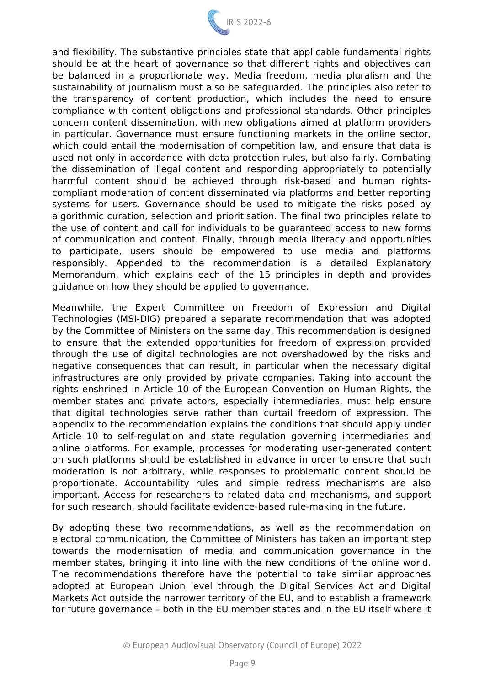

and flexibility. The substantive principles state that applicable fundamental rights should be at the heart of governance so that different rights and objectives can be balanced in a proportionate way. Media freedom, media pluralism and the sustainability of journalism must also be safeguarded. The principles also refer to the transparency of content production, which includes the need to ensure compliance with content obligations and professional standards. Other principles concern content dissemination, with new obligations aimed at platform providers in particular. Governance must ensure functioning markets in the online sector, which could entail the modernisation of competition law, and ensure that data is used not only in accordance with data protection rules, but also fairly. Combating the dissemination of illegal content and responding appropriately to potentially harmful content should be achieved through risk-based and human rightscompliant moderation of content disseminated via platforms and better reporting systems for users. Governance should be used to mitigate the risks posed by algorithmic curation, selection and prioritisation. The final two principles relate to the use of content and call for individuals to be guaranteed access to new forms of communication and content. Finally, through media literacy and opportunities to participate, users should be empowered to use media and platforms responsibly. Appended to the recommendation is a detailed Explanatory Memorandum, which explains each of the 15 principles in depth and provides guidance on how they should be applied to governance.

Meanwhile, the Expert Committee on Freedom of Expression and Digital Technologies (MSI-DIG) prepared a separate recommendation that was adopted by the Committee of Ministers on the same day. This recommendation is designed to ensure that the extended opportunities for freedom of expression provided through the use of digital technologies are not overshadowed by the risks and negative consequences that can result, in particular when the necessary digital infrastructures are only provided by private companies. Taking into account the rights enshrined in Article 10 of the European Convention on Human Rights, the member states and private actors, especially intermediaries, must help ensure that digital technologies serve rather than curtail freedom of expression. The appendix to the recommendation explains the conditions that should apply under Article 10 to self-regulation and state regulation governing intermediaries and online platforms. For example, processes for moderating user-generated content on such platforms should be established in advance in order to ensure that such moderation is not arbitrary, while responses to problematic content should be proportionate. Accountability rules and simple redress mechanisms are also important. Access for researchers to related data and mechanisms, and support for such research, should facilitate evidence-based rule-making in the future.

By adopting these two recommendations, as well as the recommendation on electoral communication, the Committee of Ministers has taken an important step towards the modernisation of media and communication governance in the member states, bringing it into line with the new conditions of the online world. The recommendations therefore have the potential to take similar approaches adopted at European Union level through the Digital Services Act and Digital Markets Act outside the narrower territory of the EU, and to establish a framework for future governance – both in the EU member states and in the EU itself where it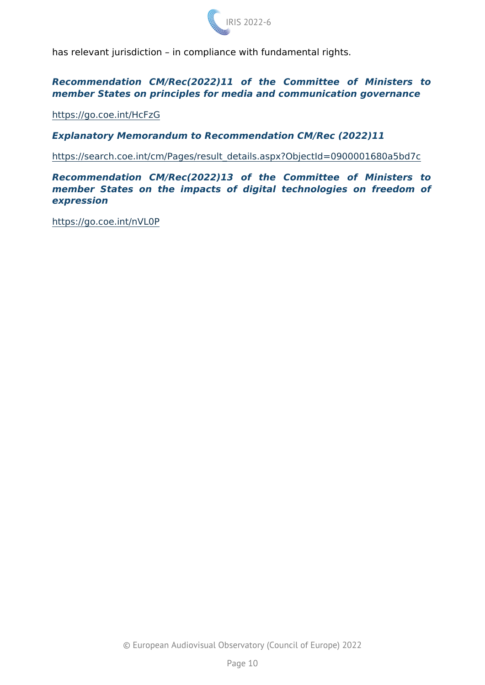has relevant jurisdiction in compliance with fundamental rights.

Recommendation CM/Rec(2022)11 of the Committee of Min member States on principles for media and communication governa

[https://go.coe.int](https://go.coe.int/HcFzG)/HcFzG

Explanatory Memorandum to Recommendation CM/Rec (2022)11

[https://search.coe.int/cm/Pages/result\\_details.aspx?Objec](https://search.coe.int/cm/Pages/result_details.aspx?ObjectId=0900001680a5bd7c)tId=09000

Recommendation CM/Rec(2022)13 of the Committee of Min member States on the impacts of digital technologies on free expression

[https://go.coe.in](https://go.coe.int/nVL0P)t/nVL0P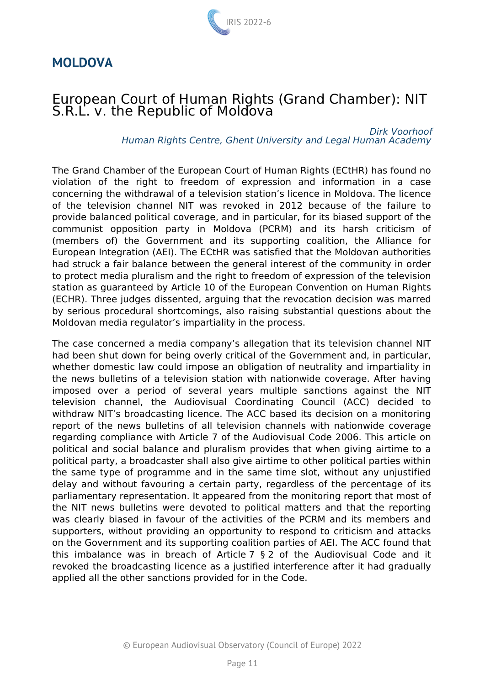

## <span id="page-10-0"></span>**MOLDOVA**

## European Court of Human Rights (Grand Chamber): NIT S.R.L. v. the Republic of Moldova

*Dirk Voorhoof Human Rights Centre, Ghent University and Legal Human Academy*

The Grand Chamber of the European Court of Human Rights (ECtHR) has found no violation of the right to freedom of expression and information in a case concerning the withdrawal of a television station's licence in Moldova. The licence of the television channel NIT was revoked in 2012 because of the failure to provide balanced political coverage, and in particular, for its biased support of the communist opposition party in Moldova (PCRM) and its harsh criticism of (members of) the Government and its supporting coalition, the Alliance for European Integration (AEI). The ECtHR was satisfied that the Moldovan authorities had struck a fair balance between the general interest of the community in order to protect media pluralism and the right to freedom of expression of the television station as guaranteed by Article 10 of the European Convention on Human Rights (ECHR). Three judges dissented, arguing that the revocation decision was marred by serious procedural shortcomings, also raising substantial questions about the Moldovan media regulator's impartiality in the process.

The case concerned a media company's allegation that its television channel NIT had been shut down for being overly critical of the Government and, in particular, whether domestic law could impose an obligation of neutrality and impartiality in the news bulletins of a television station with nationwide coverage. After having imposed over a period of several years multiple sanctions against the NIT television channel, the Audiovisual Coordinating Council (ACC) decided to withdraw NIT's broadcasting licence. The ACC based its decision on a monitoring report of the news bulletins of all television channels with nationwide coverage regarding compliance with Article 7 of the Audiovisual Code 2006. This article on political and social balance and pluralism provides that when giving airtime to a political party, a broadcaster shall also give airtime to other political parties within the same type of programme and in the same time slot, without any unjustified delay and without favouring a certain party, regardless of the percentage of its parliamentary representation. It appeared from the monitoring report that most of the NIT news bulletins were devoted to political matters and that the reporting was clearly biased in favour of the activities of the PCRM and its members and supporters, without providing an opportunity to respond to criticism and attacks on the Government and its supporting coalition parties of AEI. The ACC found that this imbalance was in breach of Article 7 § 2 of the Audiovisual Code and it revoked the broadcasting licence as a justified interference after it had gradually applied all the other sanctions provided for in the Code.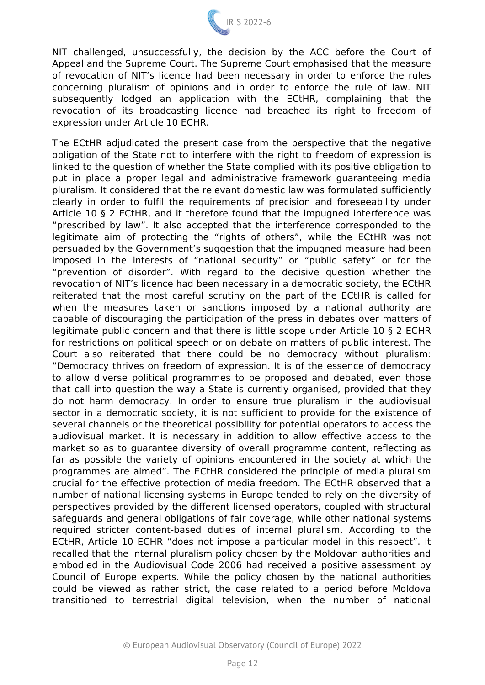

NIT challenged, unsuccessfully, the decision by the ACC before the Court of Appeal and the Supreme Court. The Supreme Court emphasised that the measure of revocation of NIT's licence had been necessary in order to enforce the rules concerning pluralism of opinions and in order to enforce the rule of law. NIT subsequently lodged an application with the ECtHR, complaining that the revocation of its broadcasting licence had breached its right to freedom of expression under Article 10 ECHR.

The ECtHR adjudicated the present case from the perspective that the negative obligation of the State not to interfere with the right to freedom of expression is linked to the question of whether the State complied with its positive obligation to put in place a proper legal and administrative framework guaranteeing media pluralism. It considered that the relevant domestic law was formulated sufficiently clearly in order to fulfil the requirements of precision and foreseeability under Article 10 § 2 ECtHR, and it therefore found that the impugned interference was "prescribed by law". It also accepted that the interference corresponded to the legitimate aim of protecting the "rights of others", while the ECtHR was not persuaded by the Government's suggestion that the impugned measure had been imposed in the interests of "national security" or "public safety" or for the "prevention of disorder". With regard to the decisive question whether the revocation of NIT's licence had been necessary in a democratic society, the ECtHR reiterated that the most careful scrutiny on the part of the ECtHR is called for when the measures taken or sanctions imposed by a national authority are capable of discouraging the participation of the press in debates over matters of legitimate public concern and that there is little scope under Article 10 § 2 ECHR for restrictions on political speech or on debate on matters of public interest. The Court also reiterated that there could be no democracy without pluralism: "Democracy thrives on freedom of expression. It is of the essence of democracy to allow diverse political programmes to be proposed and debated, even those that call into question the way a State is currently organised, provided that they do not harm democracy. In order to ensure true pluralism in the audiovisual sector in a democratic society, it is not sufficient to provide for the existence of several channels or the theoretical possibility for potential operators to access the audiovisual market. It is necessary in addition to allow effective access to the market so as to guarantee diversity of overall programme content, reflecting as far as possible the variety of opinions encountered in the society at which the programmes are aimed". The ECtHR considered the principle of media pluralism crucial for the effective protection of media freedom. The ECtHR observed that a number of national licensing systems in Europe tended to rely on the diversity of perspectives provided by the different licensed operators, coupled with structural safeguards and general obligations of fair coverage, while other national systems required stricter content-based duties of internal pluralism. According to the ECtHR, Article 10 ECHR "does not impose a particular model in this respect". It recalled that the internal pluralism policy chosen by the Moldovan authorities and embodied in the Audiovisual Code 2006 had received a positive assessment by Council of Europe experts. While the policy chosen by the national authorities could be viewed as rather strict, the case related to a period before Moldova transitioned to terrestrial digital television, when the number of national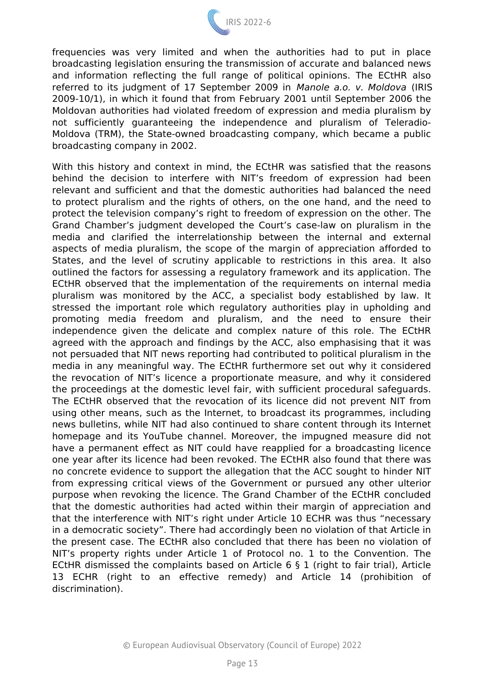

frequencies was very limited and when the authorities had to put in place broadcasting legislation ensuring the transmission of accurate and balanced news and information reflecting the full range of political opinions. The ECtHR also referred to its judgment of 17 September 2009 in *Manole a.o. v. Moldova* (IRIS 2009-10/1), in which it found that from February 2001 until September 2006 the Moldovan authorities had violated freedom of expression and media pluralism by not sufficiently guaranteeing the independence and pluralism of Teleradio-Moldova (TRM), the State-owned broadcasting company, which became a public broadcasting company in 2002.

With this history and context in mind, the ECtHR was satisfied that the reasons behind the decision to interfere with NIT's freedom of expression had been relevant and sufficient and that the domestic authorities had balanced the need to protect pluralism and the rights of others, on the one hand, and the need to protect the television company's right to freedom of expression on the other. The Grand Chamber's judgment developed the Court's case-law on pluralism in the media and clarified the interrelationship between the internal and external aspects of media pluralism, the scope of the margin of appreciation afforded to States, and the level of scrutiny applicable to restrictions in this area. It also outlined the factors for assessing a regulatory framework and its application. The ECtHR observed that the implementation of the requirements on internal media pluralism was monitored by the ACC, a specialist body established by law. It stressed the important role which regulatory authorities play in upholding and promoting media freedom and pluralism, and the need to ensure their independence given the delicate and complex nature of this role. The ECtHR agreed with the approach and findings by the ACC, also emphasising that it was not persuaded that NIT news reporting had contributed to political pluralism in the media in any meaningful way. The ECtHR furthermore set out why it considered the revocation of NIT's licence a proportionate measure, and why it considered the proceedings at the domestic level fair, with sufficient procedural safeguards. The ECtHR observed that the revocation of its licence did not prevent NIT from using other means, such as the Internet, to broadcast its programmes, including news bulletins, while NIT had also continued to share content through its Internet homepage and its YouTube channel. Moreover, the impugned measure did not have a permanent effect as NIT could have reapplied for a broadcasting licence one year after its licence had been revoked. The ECtHR also found that there was no concrete evidence to support the allegation that the ACC sought to hinder NIT from expressing critical views of the Government or pursued any other ulterior purpose when revoking the licence. The Grand Chamber of the ECtHR concluded that the domestic authorities had acted within their margin of appreciation and that the interference with NIT's right under Article 10 ECHR was thus "necessary in a democratic society". There had accordingly been no violation of that Article in the present case. The ECtHR also concluded that there has been no violation of NIT's property rights under Article 1 of Protocol no. 1 to the Convention. The ECtHR dismissed the complaints based on Article 6 § 1 (right to fair trial), Article 13 ECHR (right to an effective remedy) and Article 14 (prohibition of discrimination).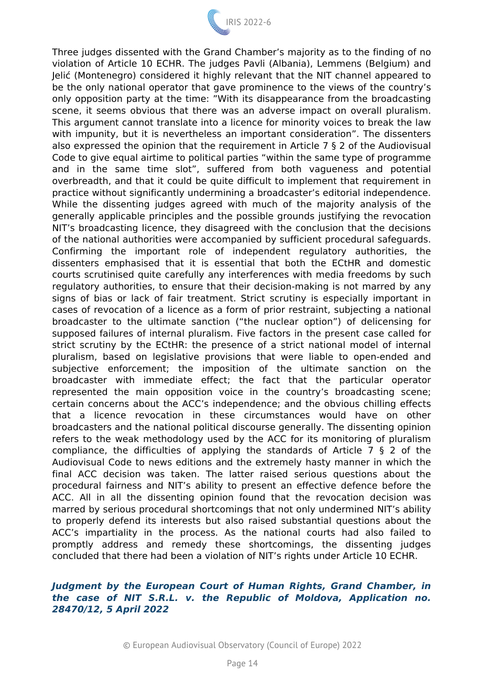

Three judges dissented with the Grand Chamber's majority as to the finding of no violation of Article 10 ECHR. The judges Pavli (Albania), Lemmens (Belgium) and Jelić (Montenegro) considered it highly relevant that the NIT channel appeared to be the only national operator that gave prominence to the views of the country's only opposition party at the time: "With its disappearance from the broadcasting scene, it seems obvious that there was an adverse impact on overall pluralism. This argument cannot translate into a licence for minority voices to break the law with impunity, but it is nevertheless an important consideration". The dissenters also expressed the opinion that the requirement in Article 7 § 2 of the Audiovisual Code to give equal airtime to political parties "within the same type of programme and in the same time slot", suffered from both vagueness and potential overbreadth, and that it could be quite difficult to implement that requirement in practice without significantly undermining a broadcaster's editorial independence. While the dissenting judges agreed with much of the majority analysis of the generally applicable principles and the possible grounds justifying the revocation NIT's broadcasting licence, they disagreed with the conclusion that the decisions of the national authorities were accompanied by sufficient procedural safeguards. Confirming the important role of independent regulatory authorities, the dissenters emphasised that it is essential that both the ECtHR and domestic courts scrutinised quite carefully any interferences with media freedoms by such regulatory authorities, to ensure that their decision-making is not marred by any signs of bias or lack of fair treatment. Strict scrutiny is especially important in cases of revocation of a licence as a form of prior restraint, subjecting a national broadcaster to the ultimate sanction ("the nuclear option") of delicensing for supposed failures of internal pluralism. Five factors in the present case called for strict scrutiny by the ECtHR: the presence of a strict national model of internal pluralism, based on legislative provisions that were liable to open-ended and subjective enforcement; the imposition of the ultimate sanction on the broadcaster with immediate effect; the fact that the particular operator represented the main opposition voice in the country's broadcasting scene; certain concerns about the ACC's independence; and the obvious chilling effects that a licence revocation in these circumstances would have on other broadcasters and the national political discourse generally. The dissenting opinion refers to the weak methodology used by the ACC for its monitoring of pluralism compliance, the difficulties of applying the standards of Article 7 § 2 of the Audiovisual Code to news editions and the extremely hasty manner in which the final ACC decision was taken. The latter raised serious questions about the procedural fairness and NIT's ability to present an effective defence before the ACC. All in all the dissenting opinion found that the revocation decision was marred by serious procedural shortcomings that not only undermined NIT's ability to properly defend its interests but also raised substantial questions about the ACC's impartiality in the process. As the national courts had also failed to promptly address and remedy these shortcomings, the dissenting judges concluded that there had been a violation of NIT's rights under Article 10 ECHR.

#### *Judgment by the European Court of Human Rights, Grand Chamber, in the case of NIT S.R.L. v. the Republic of Moldova, Application no. 28470/12, 5 April 2022*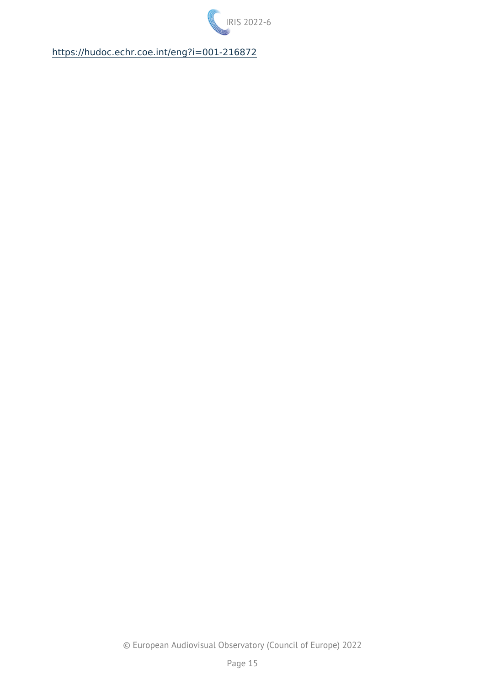[https://hudoc.echr.coe.int/eng?i](https://hudoc.echr.coe.int/eng?i=001-216872)=001-216872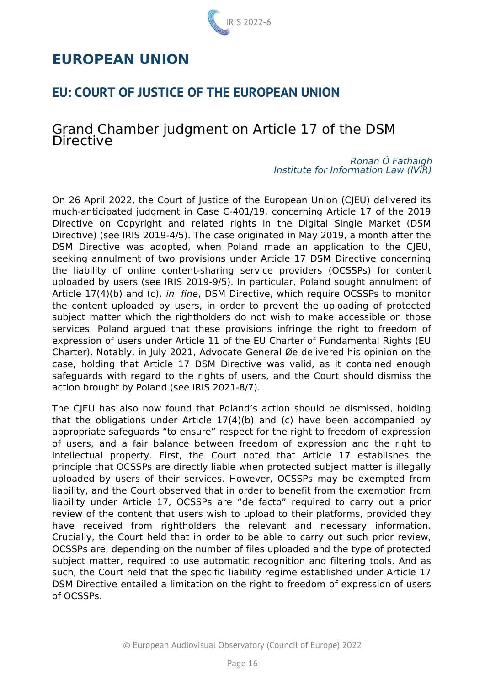

## <span id="page-15-0"></span>**EUROPEAN UNION**

## **EU: COURT OF JUSTICE OF THE EUROPEAN UNION**

## Grand Chamber judgment on Article 17 of the DSM Directive

#### *Ronan Ó Fathaigh Institute for Information Law (IViR)*

On 26 April 2022, the Court of Justice of the European Union (CJEU) delivered its much-anticipated judgment in Case C‑401/19, concerning Article 17 of the 2019 Directive on Copyright and related rights in the Digital Single Market (DSM Directive) (see IRIS 2019-4/5). The case originated in May 2019, a month after the DSM Directive was adopted, when Poland made an application to the CJEU, seeking annulment of two provisions under Article 17 DSM Directive concerning the liability of online content-sharing service providers (OCSSPs) for content uploaded by users (see IRIS 2019-9/5). In particular, Poland sought annulment of Article 17(4)(b) and (c), *in fine*, DSM Directive, which require OCSSPs to monitor the content uploaded by users, in order to prevent the uploading of protected subject matter which the rightholders do not wish to make accessible on those services. Poland argued that these provisions infringe the right to freedom of expression of users under Article 11 of the EU Charter of Fundamental Rights (EU Charter). Notably, in July 2021, Advocate General Øe delivered his opinion on the case, holding that Article 17 DSM Directive was valid, as it contained enough safeguards with regard to the rights of users, and the Court should dismiss the action brought by Poland (see IRIS 2021-8/7).

The CJEU has also now found that Poland's action should be dismissed, holding that the obligations under Article 17(4)(b) and (c) have been accompanied by appropriate safeguards "to ensure" respect for the right to freedom of expression of users, and a fair balance between freedom of expression and the right to intellectual property. First, the Court noted that Article 17 establishes the principle that OCSSPs are directly liable when protected subject matter is illegally uploaded by users of their services. However, OCSSPs may be exempted from liability, and the Court observed that in order to benefit from the exemption from liability under Article 17, OCSSPs are "de facto" required to carry out a prior review of the content that users wish to upload to their platforms, provided they have received from rightholders the relevant and necessary information. Crucially, the Court held that in order to be able to carry out such prior review, OCSSPs are, depending on the number of files uploaded and the type of protected subject matter, required to use automatic recognition and filtering tools. And as such, the Court held that the specific liability regime established under Article 17 DSM Directive entailed a limitation on the right to freedom of expression of users of OCSSPs.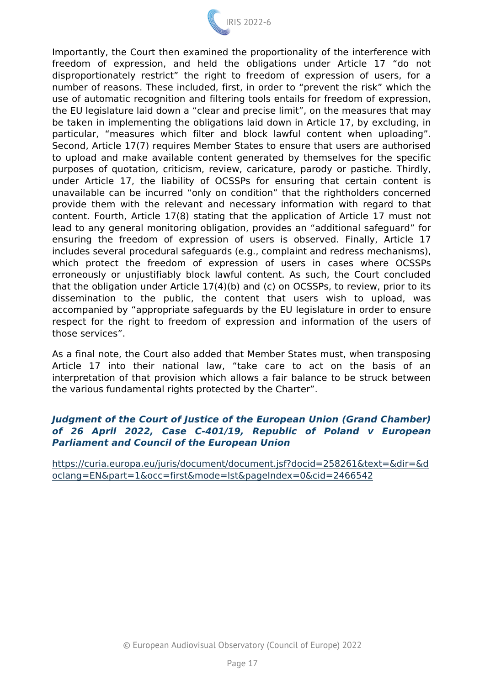Importantly, the Court then examined the proportionality of the i freedom of expression, and held the obligations under  $A$ disproportionately restrict the right to freedom of expression number of reasons. These included, first, in order to prevent the use of automatic recognition and filtering tools entails for freed the EU legislature laid down a clear and precise limit, on the me be taken in implementing the obligations laid down in Article 17, particular, measures which filter and block lawful content Second, Article  $17(7)$  requires Member States to ensure that use to upload and make available content generated by themselves purposes of quotation, criticism, review, caricature, parody or under Article 17, the liability of OCSSPs for ensuring that unavailable can be incurred only on condition that the righth provide them with the relevant and necessary information wit content. Fourth, Article  $17(8)$  stating that the application of A lead to any general monitoring obligation, provides an addition ensuring the freedom of expression of users is observed. includes several procedural safeguards (e.g., complaint and redre which protect the freedom of expression of users in cases erroneously or unjustifiably block lawful content. As such, the that the obligation under Article  $17(4)(b)$  and (c) on OCSSPs, to dissemination to the public, the content that users wish accompanied by appropriate safeguards by the EU legislature in respect for the right to freedom of expression and informatio those services .

As a final note, the Court also added that Member States must, v Article 17 into their national law, take care to act interpretation of that provision which allows a fair balance to b the various fundamental rights protected by the Charter .

Judgment of the Court of Justice of the European Union (Grand C of 26 April 2022, Case C 401/19, Republic of Poland Parliament and Council of the European Union

[https://curia.europa.eu/juris/document/document.jsf?docid=](https://curia.europa.eu/juris/document/document.jsf?docid=258261&text=&dir=&doclang=EN&part=1&occ=first&mode=lst&pageIndex=0&cid=2466542)258261& [oclang=EN&part=1&occ=first&mode=lst&pageIndex=](https://curia.europa.eu/juris/document/document.jsf?docid=258261&text=&dir=&doclang=EN&part=1&occ=first&mode=lst&pageIndex=0&cid=2466542)0&cid=2466542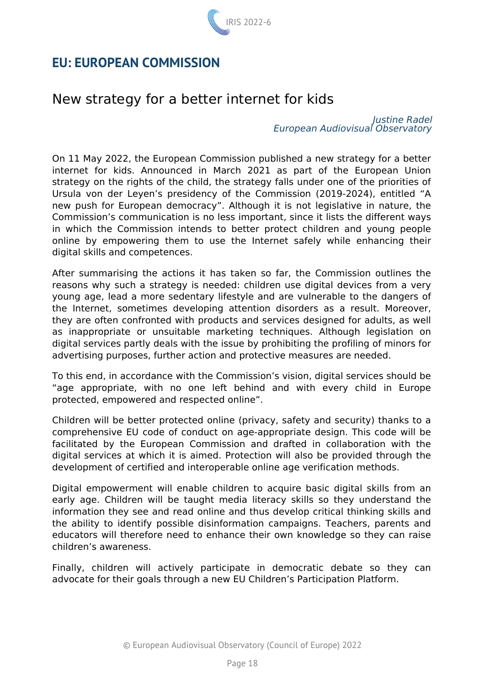

## <span id="page-17-0"></span>**EU: EUROPEAN COMMISSION**

## New strategy for a better internet for kids

*Justine Radel European Audiovisual Observatory*

On 11 May 2022, the European Commission published a new strategy for a better internet for kids. Announced in March 2021 as part of the European Union strategy on the rights of the child, the strategy falls under one of the priorities of Ursula von der Leyen's presidency of the Commission (2019-2024), entitled "A new push for European democracy". Although it is not legislative in nature, the Commission's communication is no less important, since it lists the different ways in which the Commission intends to better protect children and young people online by empowering them to use the Internet safely while enhancing their digital skills and competences.

After summarising the actions it has taken so far, the Commission outlines the reasons why such a strategy is needed: children use digital devices from a very young age, lead a more sedentary lifestyle and are vulnerable to the dangers of the Internet, sometimes developing attention disorders as a result. Moreover, they are often confronted with products and services designed for adults, as well as inappropriate or unsuitable marketing techniques. Although legislation on digital services partly deals with the issue by prohibiting the profiling of minors for advertising purposes, further action and protective measures are needed.

To this end, in accordance with the Commission's vision, digital services should be "age appropriate, with no one left behind and with every child in Europe protected, empowered and respected online".

Children will be better protected online (privacy, safety and security) thanks to a comprehensive EU code of conduct on age-appropriate design. This code will be facilitated by the European Commission and drafted in collaboration with the digital services at which it is aimed. Protection will also be provided through the development of certified and interoperable online age verification methods.

Digital empowerment will enable children to acquire basic digital skills from an early age. Children will be taught media literacy skills so they understand the information they see and read online and thus develop critical thinking skills and the ability to identify possible disinformation campaigns. Teachers, parents and educators will therefore need to enhance their own knowledge so they can raise children's awareness.

Finally, children will actively participate in democratic debate so they can advocate for their goals through a new EU Children's Participation Platform.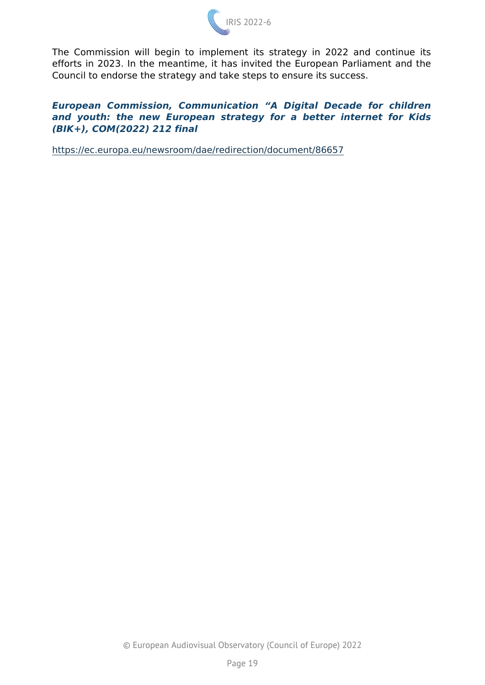The Commission will begin to implement its strategy in 2022 efforts in 2023. In the meantime, it has invited the European Pa Council to endorse the strategy and take steps to ensure its succe

European Commission, Communication A Digital Decade for and youth: the new European strategy for a better internet (BIK+), COM(2022) 212 final

[https://ec.europa.eu/newsroom/dae/redirectio](https://ec.europa.eu/newsroom/dae/redirection/document/86657)n/document/86657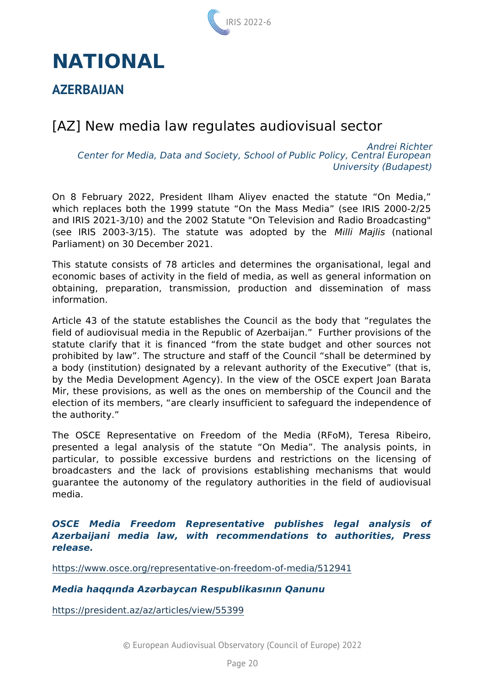# <span id="page-19-0"></span>NATIONAL

### AZERBAIJAN

### [AZ] New media law regulates audiovisual se

Andrei Richter Center for Media, Data and Society, School of Public Policy, C University (Budapest)

On 8 February 2022, President Ilham Aliyev enacted the sta which replaces both the 1999 statute On the Mass Media (see and IRIS 2021-3/10) and the 2002 Statute "On Television and Rad  $(see$  IRIS 2003-3/15). The statute was Mildid op Mad (insolation to hele Parliament) on 30 December 2021.

This statute consists of 78 articles and determines the organis economic bases of activity in the field of media, as well as gene obtaining, preparation, transmission, production and disser information.

Article 43 of the statute establishes the Council as the body that field of audiovisual media in the Republic of Azerbaijan. Further statute clarify that it is financed from the state budget and prohibited by law . The structure and staff of the Council shall a body (institution) designated by a relevant authority of the Exaction by the Media Development Agency). In the view of the OSCE experience Mir, these provisions, as well as the ones on membership of th election of its members, are clearly insufficient to safeguard the the authority.

The OSCE Representative on Freedom of the Media (RFoM presented a legal analysis of the statute On Media . The particular, to possible excessive burdens and restrictions o broadcasters and the lack of provisions establishing mecha guarantee the autonomy of the regulatory authorities in the fie media.

OSCE Media Freedom Representative publishes legal Azerbaijani media law, with recommendations to authoritie release.

[https://www.osce.org/representative-on-freedom](https://www.osce.org/representative-on-freedom-of-media/512941)-of-media/512941

Media haqq1nda AzYrbaycan Respublikas1n1n Qanunu

[https://president.az/az/article](https://president.az/az/articles/view/55399)s/view/55399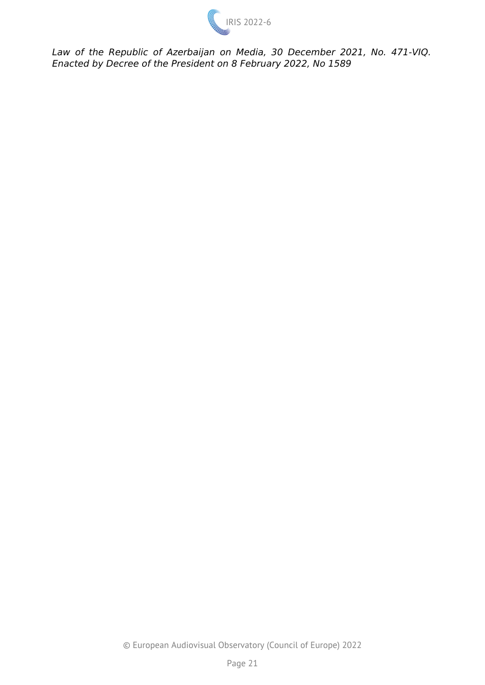

*Law of the Republic of Azerbaijan on Media, 30 December 2021, No. 471-VIQ. Enacted by Decree of the President on 8 February 2022, No 1589*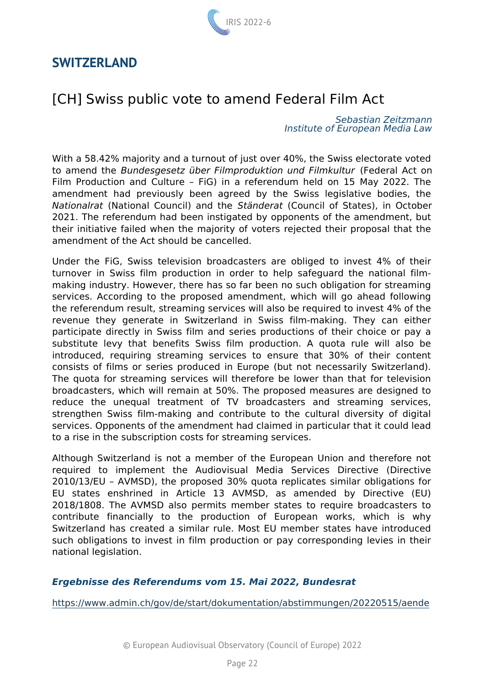## <span id="page-21-0"></span>SWITZERLAND

## [CH] Swiss public vote to amend Federal Film

Sebastian Zeitzmann Institute of European Media Law

With a 58.42% majority and a turnout of just over 40%, the Swiss to amend Bhuendesgesetz über Filmproduktion und Fleitmakulatur on Film Production and Culture FiG) in a referendum held on amendment had previously been agreed by the Swiss legisl NationalraNational Council) Saträchdtehrea (tCouncil of States), in Octo 2021. The referendum had been instigated by opponents of the a their initiative failed when the majority of voters rejected their amendment of the Act should be cancelled.

Under the FiG, Swiss television broadcasters are obliged to turnover in Swiss film production in order to help safeguard making industry. However, there has so far been no such obligation services. According to the proposed amendment, which will go the referendum result, streaming services will also be required to revenue they generate in Switzerland in Swiss film-making. participate directly in Swiss film and series productions of the substitute levy that benefits Swiss film production. A quota introduced, requiring streaming services to ensure that 30% consists of films or series produced in Europe (but not necess The quota for streaming services will therefore be lower than broadcasters, which will remain at 50%. The proposed measures reduce the unequal treatment of TV broadcasters and streaming strengthen Swiss film-making and contribute to the cultural d services. Opponents of the amendment had claimed in particular that to a rise in the subscription costs for streaming services.

Although Switzerland is not a member of the European Union a required to implement the Audiovisual Media Services D 2010/13/EU AVMSD), the proposed 30% quota replicates similar EU states enshrined in Article 13 AVMSD, as amended 2018/1808. The AVMSD also permits member states to require contribute financially to the production of European wor Switzerland has created a similar rule. Most EU member states such obligations to invest in film production or pay correspond national legislation.

Ergebnisse des Referendums vom 15. Mai 2022, Bundesrat

[https://www.admin.ch/gov/de/start/dokumentation/abstimmu](https://www.admin.ch/gov/de/start/dokumentation/abstimmungen/20220515/aenderung-des-filmgesetzes.html)ngen/202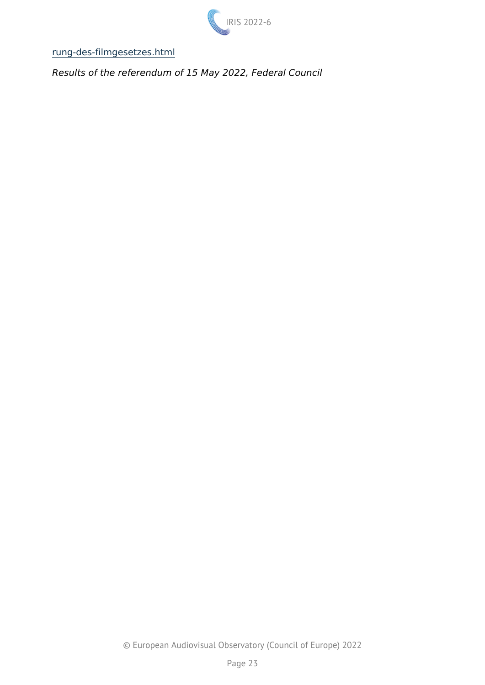[rung-des-filmgesetz](https://www.admin.ch/gov/de/start/dokumentation/abstimmungen/20220515/aenderung-des-filmgesetzes.html)es.html

Results of the referendum of 15 May 2022, Federal Council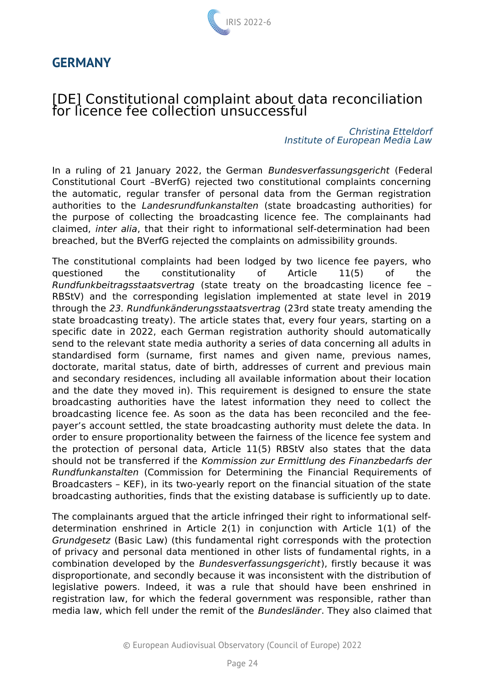

## <span id="page-23-0"></span>**GERMANY**

## [DE] Constitutional complaint about data reconciliation for licence fee collection unsuccessful

*Christina Etteldorf Institute of European Media Law*

In a ruling of 21 January 2022, the German *Bundesverfassungsgericht* (Federal Constitutional Court –BVerfG) rejected two constitutional complaints concerning the automatic, regular transfer of personal data from the German registration authorities to the *Landesrundfunkanstalten* (state broadcasting authorities) for the purpose of collecting the broadcasting licence fee. The complainants had claimed, *inter alia*, that their right to informational self-determination had been breached, but the BVerfG rejected the complaints on admissibility grounds.

The constitutional complaints had been lodged by two licence fee payers, who questioned the constitutionality of Article 11(5) of the *Rundfunkbeitragsstaatsvertrag* (state treaty on the broadcasting licence fee – RBStV) and the corresponding legislation implemented at state level in 2019 through the *23. Rundfunkänderungsstaatsvertrag* (23rd state treaty amending the state broadcasting treaty). The article states that, every four years, starting on a specific date in 2022, each German registration authority should automatically send to the relevant state media authority a series of data concerning all adults in standardised form (surname, first names and given name, previous names, doctorate, marital status, date of birth, addresses of current and previous main and secondary residences, including all available information about their location and the date they moved in). This requirement is designed to ensure the state broadcasting authorities have the latest information they need to collect the broadcasting licence fee. As soon as the data has been reconciled and the feepayer's account settled, the state broadcasting authority must delete the data. In order to ensure proportionality between the fairness of the licence fee system and the protection of personal data, Article 11(5) RBStV also states that the data should not be transferred if the *Kommission zur Ermittlung des Finanzbedarfs der Rundfunkanstalten* (Commission for Determining the Financial Requirements of Broadcasters – KEF), in its two-yearly report on the financial situation of the state broadcasting authorities, finds that the existing database is sufficiently up to date.

The complainants argued that the article infringed their right to informational selfdetermination enshrined in Article 2(1) in conjunction with Article 1(1) of the *Grundgesetz* (Basic Law) (this fundamental right corresponds with the protection of privacy and personal data mentioned in other lists of fundamental rights, in a combination developed by the *Bundesverfassungsgericht*), firstly because it was disproportionate, and secondly because it was inconsistent with the distribution of legislative powers. Indeed, it was a rule that should have been enshrined in registration law, for which the federal government was responsible, rather than media law, which fell under the remit of the *Bundesländer*. They also claimed that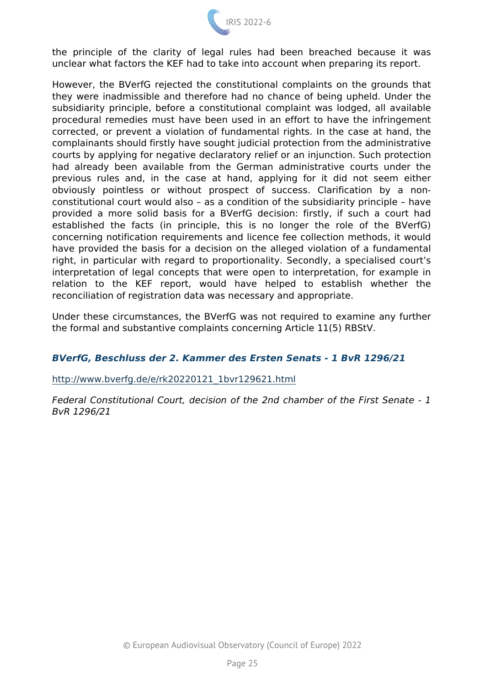the principle of the clarity of legal rules had been breach unclear what factors the KEF had to take into account when prepa

However, the BVerfG rejected the constitutional complaints on they were inadmissible and therefore had no chance of being u subsidiarity principle, before a constitutional complaint was lod procedural remedies must have been used in an effort to have corrected, or prevent a violation of fundamental rights. In the complainants should firstly have sought judicial protection from the courts by applying for negative declaratory relief or an injunction had already been available from the German administrative previous rules and, in the case at hand, applying for it d obviously pointless or without prospect of success. Clari constitutional court would also as a condition of the subsidiarit provided a more solid basis for a BVerfG decision: firstly, i established the facts (in principle, this is no longer the concerning notification requirements and licence fee collection m have provided the basis for a decision on the alleged violation right, in particular with regard to proportionality. Secondly, a interpretation of legal concepts that were open to interpretatio relation to the KEF report, would have helped to est reconciliation of registration data was necessary and appropriate.

Under these circumstances, the BVerfG was not required to examine any function and the set the formal and substantive complaints concerning Article 11(5) RB

BVerfG, Beschluss der 2. Kammer des Ersten Senats - 1 BvR 1296

[http://www.bverfg.de/e/rk20220121\\_1b](http://www.bverfg.de/e/rk20220121_1bvr129621.html)vr129621.html

Federal Constitutional Court, decision of the 2nd chamber of th BvR 1296/21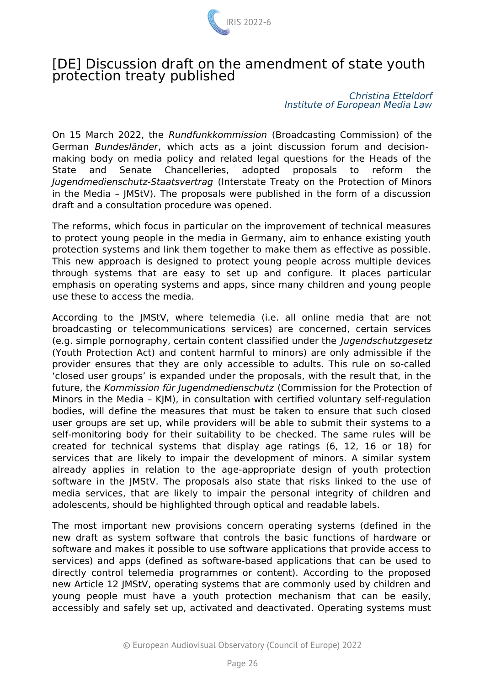

### <span id="page-25-0"></span>[DE] Discussion draft on the amendment of state youth protection treaty published

*Christina Etteldorf Institute of European Media Law*

On 15 March 2022, the *Rundfunkkommission* (Broadcasting Commission) of the German *Bundesländer*, which acts as a joint discussion forum and decisionmaking body on media policy and related legal questions for the Heads of the State and Senate Chancelleries, adopted proposals to reform the *Jugendmedienschutz-Staatsvertrag* (Interstate Treaty on the Protection of Minors in the Media – JMStV). The proposals were published in the form of a discussion draft and a consultation procedure was opened.

The reforms, which focus in particular on the improvement of technical measures to protect young people in the media in Germany, aim to enhance existing youth protection systems and link them together to make them as effective as possible. This new approach is designed to protect young people across multiple devices through systems that are easy to set up and configure. It places particular emphasis on operating systems and apps, since many children and young people use these to access the media.

According to the JMStV, where telemedia (i.e. all online media that are not broadcasting or telecommunications services) are concerned, certain services (e.g. simple pornography, certain content classified under the *Jugendschutzgesetz* (Youth Protection Act) and content harmful to minors) are only admissible if the provider ensures that they are only accessible to adults. This rule on so-called 'closed user groups' is expanded under the proposals, with the result that, in the future, the *Kommission für Jugendmedienschutz* (Commission for the Protection of Minors in the Media – KJM), in consultation with certified voluntary self-regulation bodies, will define the measures that must be taken to ensure that such closed user groups are set up, while providers will be able to submit their systems to a self-monitoring body for their suitability to be checked. The same rules will be created for technical systems that display age ratings (6, 12, 16 or 18) for services that are likely to impair the development of minors. A similar system already applies in relation to the age-appropriate design of youth protection software in the JMStV. The proposals also state that risks linked to the use of media services, that are likely to impair the personal integrity of children and adolescents, should be highlighted through optical and readable labels.

The most important new provisions concern operating systems (defined in the new draft as system software that controls the basic functions of hardware or software and makes it possible to use software applications that provide access to services) and apps (defined as software-based applications that can be used to directly control telemedia programmes or content). According to the proposed new Article 12 JMStV, operating systems that are commonly used by children and young people must have a youth protection mechanism that can be easily, accessibly and safely set up, activated and deactivated. Operating systems must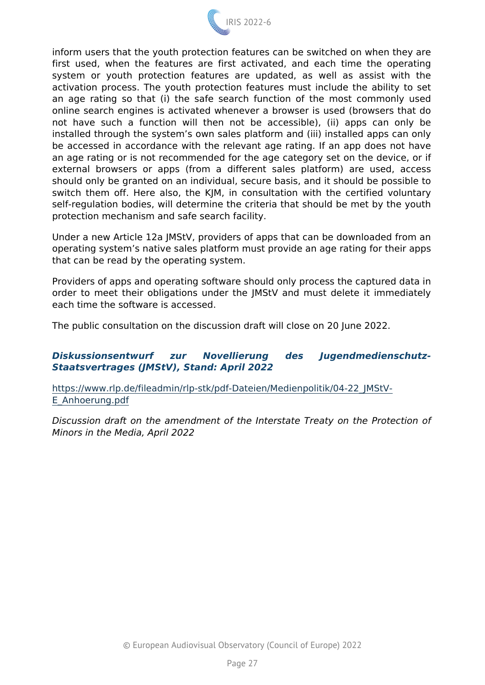inform users that the youth protection features can be switched o first used, when the features are first activated, and each system or youth protection features are updated, as well as activation process. The youth protection features must include an age rating so that (i) the safe search function of the mo online search engines is activated whenever a browser is used ( not have such a function will then not be accessible), (ii) installed through the system s own sales platform and (iii) instal be accessed in accordance with the relevant age rating. If an a an age rating or is not recommended for the age category set on external browsers or apps (from a different sales platform) should only be granted on an individual, secure basis, and it sho switch them off. Here also, the KJM, in consultation with the self-regulation bodies, will determine the criteria that should be protection mechanism and safe search facility.

Under a new Article 12a JMStV, providers of apps that can be dov operating system s native sales platform must provide an age rating that can be read by the operating system.

Providers of apps and operating software should only process the order to meet their obligations under the JMStV and must dele each time the software is accessed.

The public consultation on the discussion draft will close on 20 June

Diskussionsentwurf zur Novellierung des Jugendm Staatsvertrages (JMStV), Stand: April 2022

[https://www.rlp.de/fileadmin/rlp-stk/pdf-Dateien/Medi](https://www.rlp.de/fileadmin/rlp-stk/pdf-Dateien/Medienpolitik/04-22_JMStV-E_Anhoerung.pdf)enpolitik/04-22 [E\\_Anhoerun](https://www.rlp.de/fileadmin/rlp-stk/pdf-Dateien/Medienpolitik/04-22_JMStV-E_Anhoerung.pdf)g.pdf

Discussion draft on the amendment of the Interstate Treaty on Minors in the Media, April 2022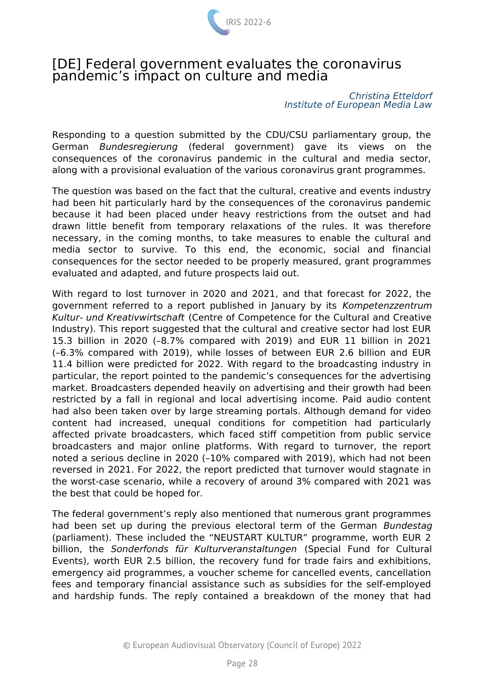

### <span id="page-27-0"></span>[DE] Federal government evaluates the coronavirus pandemic's impact on culture and media

*Christina Etteldorf Institute of European Media Law*

Responding to a question submitted by the CDU/CSU parliamentary group, the German *Bundesregierung* (federal government) gave its views on the consequences of the coronavirus pandemic in the cultural and media sector, along with a provisional evaluation of the various coronavirus grant programmes.

The question was based on the fact that the cultural, creative and events industry had been hit particularly hard by the consequences of the coronavirus pandemic because it had been placed under heavy restrictions from the outset and had drawn little benefit from temporary relaxations of the rules. It was therefore necessary, in the coming months, to take measures to enable the cultural and media sector to survive. To this end, the economic, social and financial consequences for the sector needed to be properly measured, grant programmes evaluated and adapted, and future prospects laid out.

With regard to lost turnover in 2020 and 2021, and that forecast for 2022, the government referred to a report published in January by its *Kompetenzzentrum Kultur- und Kreativwirtschaft* (Centre of Competence for the Cultural and Creative Industry). This report suggested that the cultural and creative sector had lost EUR 15.3 billion in 2020 (–8.7% compared with 2019) and EUR 11 billion in 2021 (–6.3% compared with 2019), while losses of between EUR 2.6 billion and EUR 11.4 billion were predicted for 2022. With regard to the broadcasting industry in particular, the report pointed to the pandemic's consequences for the advertising market. Broadcasters depended heavily on advertising and their growth had been restricted by a fall in regional and local advertising income. Paid audio content had also been taken over by large streaming portals. Although demand for video content had increased, unequal conditions for competition had particularly affected private broadcasters, which faced stiff competition from public service broadcasters and major online platforms. With regard to turnover, the report noted a serious decline in 2020 (–10% compared with 2019), which had not been reversed in 2021. For 2022, the report predicted that turnover would stagnate in the worst-case scenario, while a recovery of around 3% compared with 2021 was the best that could be hoped for.

The federal government's reply also mentioned that numerous grant programmes had been set up during the previous electoral term of the German *Bundestag* (parliament). These included the "NEUSTART KULTUR" programme, worth EUR 2 billion, the *Sonderfonds für Kulturveranstaltungen* (Special Fund for Cultural Events), worth EUR 2.5 billion, the recovery fund for trade fairs and exhibitions, emergency aid programmes, a voucher scheme for cancelled events, cancellation fees and temporary financial assistance such as subsidies for the self-employed and hardship funds. The reply contained a breakdown of the money that had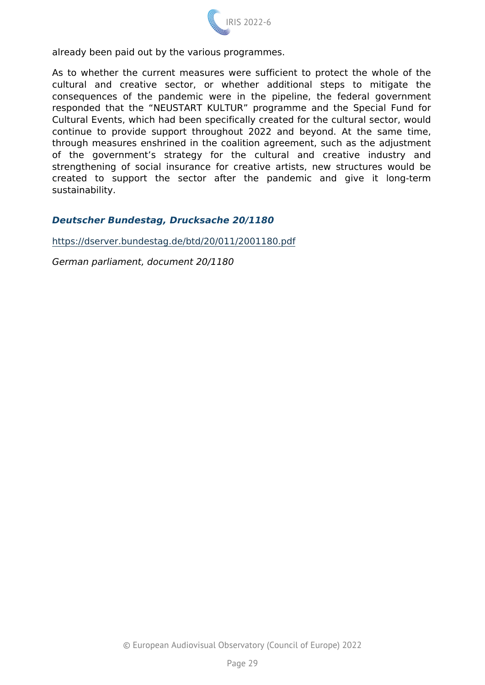already been paid out by the various programmes.

As to whether the current measures were sufficient to protect cultural and creative sector, or whether additional step consequences of the pandemic were in the pipeline, the fe responded that the NEUSTART KULTUR programme and the Cultural Events, which had been specifically created for the cultural continue to provide support throughout 2022 and beyond. At through measures enshrined in the coalition agreement, such as of the government s strategy for the cultural and  $cr$ strengthening of social insurance for creative artists, new st created to support the sector after the pandemic and sustainability.

Deutscher Bundestag, Drucksache 20/1180

[https://dserver.bundestag.de/btd/20/01](https://dserver.bundestag.de/btd/20/011/2001180.pdf)1/2001180.pdf

German parliament, document 20/1180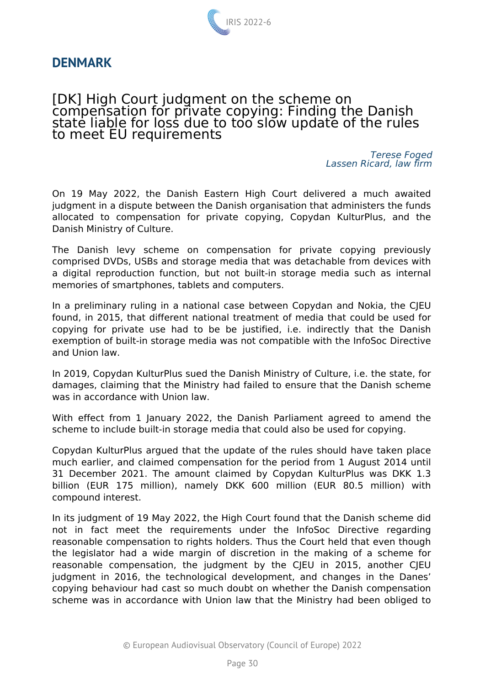

## <span id="page-29-0"></span>**DENMARK**

### [DK] High Court judgment on the scheme on compensation for private copying: Finding the Danish state liable for loss due to too slow update of the rules to meet EU requirements

*Terese Foged Lassen Ricard, law firm*

On 19 May 2022, the Danish Eastern High Court delivered a much awaited judgment in a dispute between the Danish organisation that administers the funds allocated to compensation for private copying, Copydan KulturPlus, and the Danish Ministry of Culture.

The Danish levy scheme on compensation for private copying previously comprised DVDs, USBs and storage media that was detachable from devices with a digital reproduction function, but not built-in storage media such as internal memories of smartphones, tablets and computers.

In a preliminary ruling in a national case between Copydan and Nokia, the CJEU found, in 2015, that different national treatment of media that could be used for copying for private use had to be be justified, i.e. indirectly that the Danish exemption of built-in storage media was not compatible with the InfoSoc Directive and Union law.

In 2019, Copydan KulturPlus sued the Danish Ministry of Culture, i.e. the state, for damages, claiming that the Ministry had failed to ensure that the Danish scheme was in accordance with Union law.

With effect from 1 January 2022, the Danish Parliament agreed to amend the scheme to include built-in storage media that could also be used for copying.

Copydan KulturPlus argued that the update of the rules should have taken place much earlier, and claimed compensation for the period from 1 August 2014 until 31 December 2021. The amount claimed by Copydan KulturPlus was DKK 1.3 billion (EUR 175 million), namely DKK 600 million (EUR 80.5 million) with compound interest.

In its judgment of 19 May 2022, the High Court found that the Danish scheme did not in fact meet the requirements under the InfoSoc Directive regarding reasonable compensation to rights holders. Thus the Court held that even though the legislator had a wide margin of discretion in the making of a scheme for reasonable compensation, the judgment by the CJEU in 2015, another CJEU judgment in 2016, the technological development, and changes in the Danes' copying behaviour had cast so much doubt on whether the Danish compensation scheme was in accordance with Union law that the Ministry had been obliged to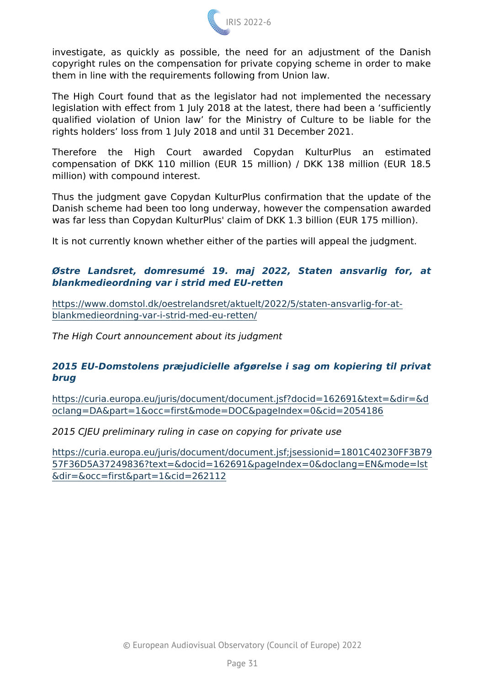investigate, as quickly as possible, the need for an adjustm copyright rules on the compensation for private copying scheme i them in line with the requirements following from Union law.

The High Court found that as the legislator had not implement legislation with effect from 1 July 2018 at the latest, there had b qualified violation of Union law for the Ministry of Culture rights holders loss from 1 July 2018 and until 31 December 2021.

Therefore the High Court awarded Copydan KulturP compensation of DKK 110 million (EUR 15 million) / DKK 138 million) with compound interest.

Thus the judgment gave Copydan KulturPlus confirmation that the Danish scheme had been too long underway, however the compens was far less than Copydan KulturPlus' claim of DKK 1.3 billion (El

It is not currently known whether either of the parties will appeal

Østre Landsret, domresumé 19. maj 2022, Staten ansvarl blankmedieordning var i strid med EU-retten

[https://www.domstol.dk/oestrelandsret/aktuelt/2022/5/s](https://www.domstol.dk/oestrelandsret/aktuelt/2022/5/staten-ansvarlig-for-at-blankmedieordning-var-i-strid-med-eu-retten/)taten-ansvar [blankmedieordning-var-i-strid-m](https://www.domstol.dk/oestrelandsret/aktuelt/2022/5/staten-ansvarlig-for-at-blankmedieordning-var-i-strid-med-eu-retten/)ed-eu-retten/

The High Court announcement about its judgment

2015 EU-Domstolens præjudicielle afgørelse i sag om kopiering t brug

[https://curia.europa.eu/juris/document/document.jsf?docid=](https://curia.europa.eu/juris/document/document.jsf?docid=162691&text=&dir=&doclang=DA&part=1&occ=first&mode=DOC&pageIndex=0&cid=2054186)162691& [oclang=DA&part=1&occ=first&mode=DOC&pageIndex=](https://curia.europa.eu/juris/document/document.jsf?docid=162691&text=&dir=&doclang=DA&part=1&occ=first&mode=DOC&pageIndex=0&cid=2054186)0&cid=2054186

2015 CJEU preliminary ruling in case on copying for private use

[https://curia.europa.eu/juris/document/document.jsf;jsessio](https://curia.europa.eu/juris/document/document.jsf;jsessionid=1801C40230FF3B7957F36D5A37249836?text=&docid=162691&pageIndex=0&doclang=EN&mode=lst&dir=&occ=first&part=1&cid=262112)nid=180 [57F36D5A37249836?text=&docid=162691&pageIndex=0&doc](https://curia.europa.eu/juris/document/document.jsf;jsessionid=1801C40230FF3B7957F36D5A37249836?text=&docid=162691&pageIndex=0&doclang=EN&mode=lst&dir=&occ=first&part=1&cid=262112)lang=EN& [&dir=&occ=first&part=1&cid](https://curia.europa.eu/juris/document/document.jsf;jsessionid=1801C40230FF3B7957F36D5A37249836?text=&docid=162691&pageIndex=0&doclang=EN&mode=lst&dir=&occ=first&part=1&cid=262112)=262112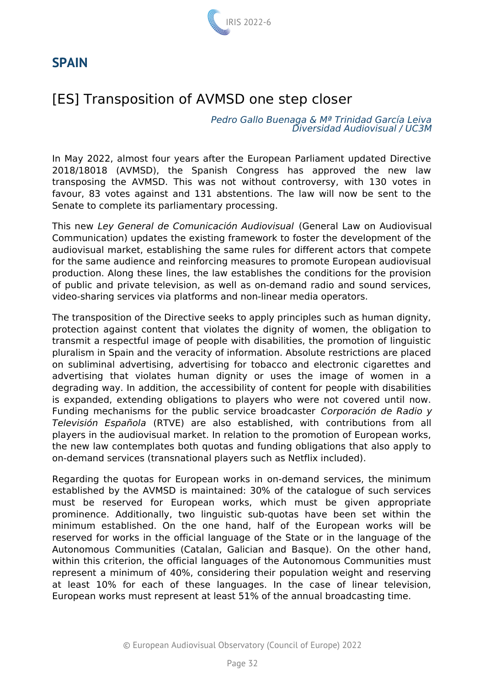

## <span id="page-31-0"></span>**SPAIN**

## [ES] Transposition of AVMSD one step closer

*Pedro Gallo Buenaga & Mª Trinidad García Leiva Diversidad Audiovisual / UC3M*

In May 2022, almost four years after the European Parliament updated Directive 2018/18018 (AVMSD), the Spanish Congress has approved the new law transposing the AVMSD. This was not without controversy, with 130 votes in favour, 83 votes against and 131 abstentions. The law will now be sent to the Senate to complete its parliamentary processing.

This new *Ley General de Comunicación Audiovisual* (General Law on Audiovisual Communication) updates the existing framework to foster the development of the audiovisual market, establishing the same rules for different actors that compete for the same audience and reinforcing measures to promote European audiovisual production. Along these lines, the law establishes the conditions for the provision of public and private television, as well as on-demand radio and sound services, video-sharing services via platforms and non-linear media operators.

The transposition of the Directive seeks to apply principles such as human dignity, protection against content that violates the dignity of women, the obligation to transmit a respectful image of people with disabilities, the promotion of linguistic pluralism in Spain and the veracity of information. Absolute restrictions are placed on subliminal advertising, advertising for tobacco and electronic cigarettes and advertising that violates human dignity or uses the image of women in a degrading way. In addition, the accessibility of content for people with disabilities is expanded, extending obligations to players who were not covered until now. Funding mechanisms for the public service broadcaster *Corporación de Radio y Televisión Española* (RTVE) are also established, with contributions from all players in the audiovisual market. In relation to the promotion of European works, the new law contemplates both quotas and funding obligations that also apply to on-demand services (transnational players such as Netflix included).

Regarding the quotas for European works in on-demand services, the minimum established by the AVMSD is maintained: 30% of the catalogue of such services must be reserved for European works, which must be given appropriate prominence. Additionally, two linguistic sub-quotas have been set within the minimum established. On the one hand, half of the European works will be reserved for works in the official language of the State or in the language of the Autonomous Communities (Catalan, Galician and Basque). On the other hand, within this criterion, the official languages of the Autonomous Communities must represent a minimum of 40%, considering their population weight and reserving at least 10% for each of these languages. In the case of linear television, European works must represent at least 51% of the annual broadcasting time.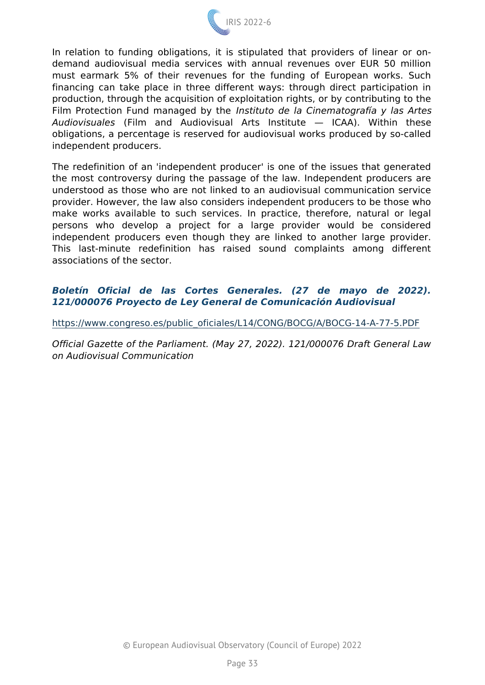In relation to funding obligations, it is stipulated that provide demand audiovisual media services with annual revenues over must earmark 5% of their revenues for the funding of Europ financing can take place in three different ways: through dire production, through the acquisition of exploitation rights, or by c Film Protection Fund managed tiby to hed Ia Cinematografía y las Audiovisual(Film and Audiovisual Arts Institute ICAA).  $obligations, a percentage is reserved for audiovisual works prod<sub>l</sub>$ independent producers.

The redefinition of an 'independent producer' is one of the issue the most controversy during the passage of the law. Independer understood as those who are not linked to an audiovisual commu provider. However, the law also considers independent producers make works available to such services. In practice, therefore persons who develop a project for a large provider wo independent producers even though they are linked to anothe Iast-minute redefinition has raised sound complaints associations of the sector.

Boletín Oficial de las Cortes Generales. (27 de may 121/000076 Proyecto de Ley General de Comunicación Audiovisual

[https://www.congreso.es/public\\_oficiales/L14/CONG/BOCG](https://www.congreso.es/public_oficiales/L14/CONG/BOCG/A/BOCG-14-A-77-5.PDF)/A/BOCG-

Official Gazette of the Parliament. (May 27, 2022). 121/000076 D on Audiovisual Communication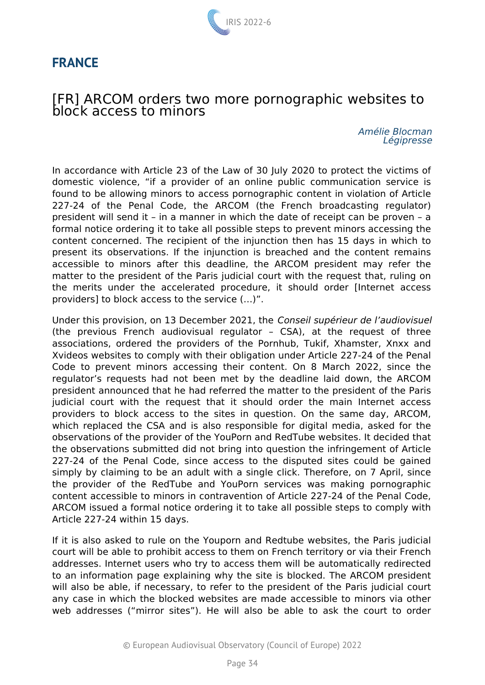

## <span id="page-33-0"></span>**FRANCE**

### [FR] ARCOM orders two more pornographic websites to block access to minors

*Amélie Blocman Légipresse*

In accordance with Article 23 of the Law of 30 July 2020 to protect the victims of domestic violence, "if a provider of an online public communication service is found to be allowing minors to access pornographic content in violation of Article 227-24 of the Penal Code, the ARCOM (the French broadcasting regulator) president will send it – in a manner in which the date of receipt can be proven – a formal notice ordering it to take all possible steps to prevent minors accessing the content concerned. The recipient of the injunction then has 15 days in which to present its observations. If the injunction is breached and the content remains accessible to minors after this deadline, the ARCOM president may refer the matter to the president of the Paris judicial court with the request that, ruling on the merits under the accelerated procedure, it should order [Internet access providers] to block access to the service (…)".

Under this provision, on 13 December 2021, the *Conseil supérieur de l'audiovisuel* (the previous French audiovisual regulator – CSA), at the request of three associations, ordered the providers of the Pornhub, Tukif, Xhamster, Xnxx and Xvideos websites to comply with their obligation under Article 227-24 of the Penal Code to prevent minors accessing their content. On 8 March 2022, since the regulator's requests had not been met by the deadline laid down, the ARCOM president announced that he had referred the matter to the president of the Paris judicial court with the request that it should order the main Internet access providers to block access to the sites in question. On the same day, ARCOM, which replaced the CSA and is also responsible for digital media, asked for the observations of the provider of the YouPorn and RedTube websites. It decided that the observations submitted did not bring into question the infringement of Article 227-24 of the Penal Code, since access to the disputed sites could be gained simply by claiming to be an adult with a single click. Therefore, on 7 April, since the provider of the RedTube and YouPorn services was making pornographic content accessible to minors in contravention of Article 227-24 of the Penal Code, ARCOM issued a formal notice ordering it to take all possible steps to comply with Article 227-24 within 15 days.

If it is also asked to rule on the Youporn and Redtube websites, the Paris judicial court will be able to prohibit access to them on French territory or via their French addresses. Internet users who try to access them will be automatically redirected to an information page explaining why the site is blocked. The ARCOM president will also be able, if necessary, to refer to the president of the Paris judicial court any case in which the blocked websites are made accessible to minors via other web addresses ("mirror sites"). He will also be able to ask the court to order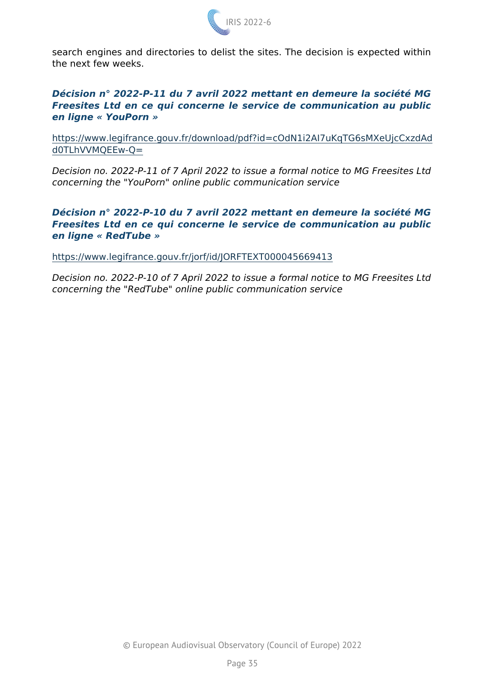search engines and directories to delist the sites. The decision the next few weeks.

Décision n° 2022-P-11 du 7 avril 2022 mettant en demeure la soc Freesites Ltd en ce qui concerne le service de communication a en ligne « YouPorn »

[https://www.legifrance.gouv.fr/download/pdf?id=cOdN1i2AI7](https://www.legifrance.gouv.fr/download/pdf?id=cOdN1i2AI7uKqTG6sMXeUjcCxzdAdd0TLhVVMQEEw-Q=)uKqTG6 [d0TLhVVMQEE](https://www.legifrance.gouv.fr/download/pdf?id=cOdN1i2AI7uKqTG6sMXeUjcCxzdAdd0TLhVVMQEEw-Q=)w-Q=

Decision no. 2022-P-11 of 7 April 2022 to issue a formal notice to concerning the "YouPorn" online public communication service

Décision n° 2022-P-10 du 7 avril 2022 mettant en demeure la soc Freesites Ltd en ce qui concerne le service de communication a en ligne « RedTube »

[https://www.legifrance.gouv.fr/jorf/id/JORFT](https://www.legifrance.gouv.fr/jorf/id/JORFTEXT000045669413)EXT000045669413

Decision no. 2022-P-10 of 7 April 2022 to issue a formal notice to concerning the "RedTube" online public communication service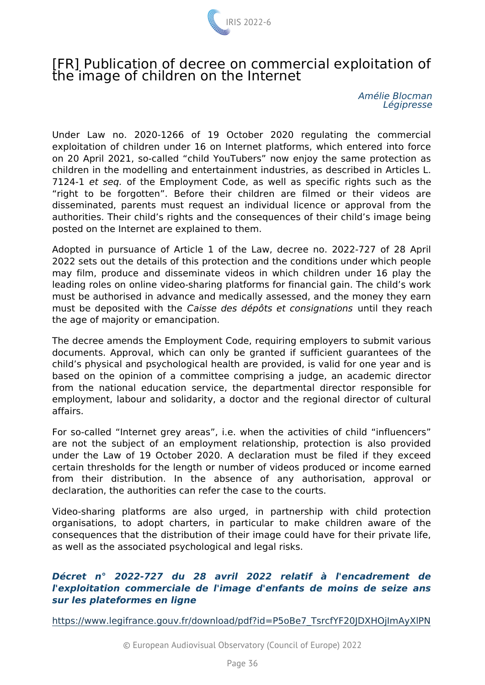### <span id="page-35-0"></span>[FR] Publication of decree on commercial exp the image of children on the Internet

#### Amélie Blocman Légipresse

Under Law no. 2020-1266 of 19 October 2020 regulating exploitation of children under 16 on Internet platforms, which e on 20 April 2021, so-called child YouTubers now enjoy the sa children in the modelling and entertainment industries, as descri  $7124$ - $et$  seqof the Employment Code, as well as specific rights right to be forgotten. Before their children are filmed disseminated, parents must request an individual licence or a authorities. Their child s rights and the consequences of their cl posted on the Internet are explained to them.

Adopted in pursuance of Article 1 of the Law, decree no. 202 2022 sets out the details of this protection and the conditions un may film, produce and disseminate videos in which children u leading roles on online video-sharing platforms for financial gain must be authorised in advance and medically assessed, and the n must be deposited wOltahiste des dépôts et constingtinilations reach the age of majority or emancipation.

The decree amends the Employment Code, requiring employers to documents. Approval, which can only be granted if sufficient g child s physical and psychological health are provided, is valid f based on the opinion of a committee comprising a judge, an a from the national education service, the departmental directo employment, labour and solidarity, a doctor and the regional di affairs.

For so-called Internet grey areas, i.e. when the activities of are not the subject of an employment relationship, protection under the Law of 19 October 2020. A declaration must be fil certain thresholds for the length or number of videos produced o from their distribution. In the absence of any authoris declaration, the authorities can refer the case to the courts.

Video-sharing platforms are also urged, in partnership wit organisations, to adopt charters, in particular to make child consequences that the distribution of their image could have for as well as the associated psychological and legal risks.

Décret n° 2022-727 du 28 avril 2022 relatif à l'enc l'exploitation commerciale de l'image d'enfants de moins de s sur les plateformes en ligne

[https://www.legifrance.gouv.fr/download/pdf?id=P5oBe7\\_Ts](https://www.legifrance.gouv.fr/download/pdf?id=P5oBe7_TsrcfYF20JDXHOjImAyXlPNb9zULelSY01V8=)rcfYF20J

© European Audiovisual Observatory (Council of Europe) 2022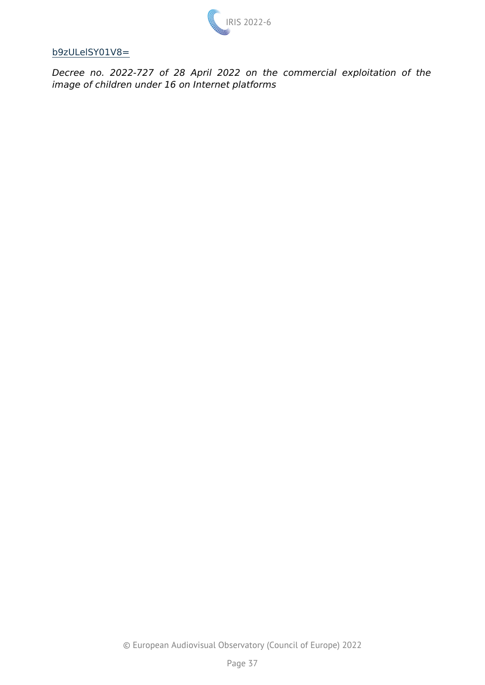#### $b9zULeISY01V8=$

Decree no. 2022-727 of 28 April 2022 on the commercial e image of children under 16 on Internet platforms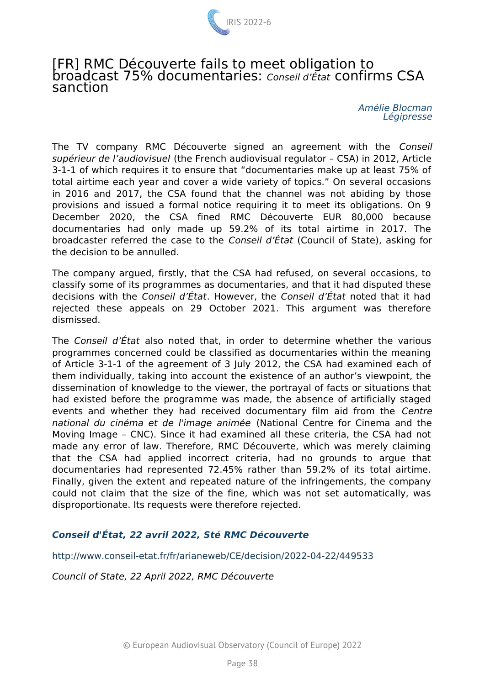### <span id="page-37-0"></span>[FR] RMC Découverte fails to meet obligation  $b$ ro $\ddot{a}$  d  $c$  a st 75% documental  $\ddot{\bm{\epsilon}}$  ineas  $\acute{c}$  a nfirms  $\ddot{c}$  SA sanction

#### Amélie Blocman Légipresse

The TV company RMC Découverte signed an Caparsemeintent supérieur de l audi (the French audiovisual regulator CSA) in 2012 3-1-1 of which requires it to ensure that documentaries make up total airtime each year and cover a wide variety of topics. On in 2016 and 2017, the CSA found that the channel was not provisions and issued a formal notice requiring it to meet its December 2020, the CSA fined RMC Découverte EUF documentaries had only made up 59.2% of its total airt broadcaster referred the c**ose** sted the  $\acute{\textbf{t}}$  Caotuncil of State), asking the decision to be annulled.

The company argued, firstly, that the CSA had refused, on sev classify some of its programmes as documentaries, and that it had decisions with Cothhsee ild. ÉlHaotwever, Otohnese ild Éntoatted that it had rejected these appeals on 29 October 2021. This argume dismissed.

The Conseil d Éats to noted that, in order to determine whether programmes concerned could be classified as documentaries with of Article 3-1-1 of the agreement of 3 July 2012, the CSA had them individually, taking into account the existence of an author dissemination of knowledge to the viewer, the portrayal of facts had existed before the programme was made, the absence of a events and whether they had received documentar Qentire aid national du cinéma et de l'imadetionamine entre for Cinema and Moving Image CNC). Since it had examined all these criteria, made any error of law. Therefore, RMC Découverte, which was that the CSA had applied incorrect criteria, had no grou documentaries had represented 72.45% rather than 59.2% of Finally, given the extent and repeated nature of the infringemen could not claim that the size of the fine, which was not set disproportionate. Its requests were therefore rejected.

Conseil d'État, 22 avril 2022, Sté RMC Découverte

[http://www.conseil-etat.fr/fr/arianeweb/CE/decisio](http://www.conseil-etat.fr/fr/arianeweb/CE/decision/2022-04-22/449533)n/2022-04-22/449

Council of State, 22 April 2022, RMC Découverte

© European Audiovisual Observatory (Council of Europe) 2022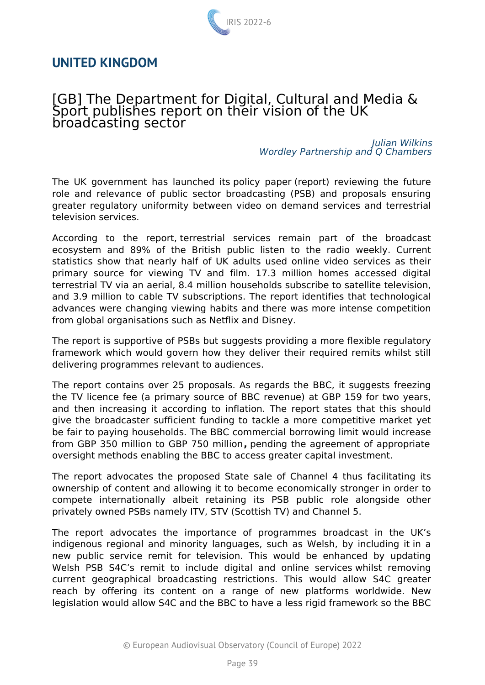

## <span id="page-38-0"></span>**UNITED KINGDOM**

### [GB] The Department for Digital, Cultural and Media & Sport publishes report on their vision of the UK broadcasting sector

#### *Julian Wilkins Wordley Partnership and Q Chambers*

The UK government has launched its policy paper (report) reviewing the future role and relevance of public sector broadcasting (PSB) and proposals ensuring greater regulatory uniformity between video on demand services and terrestrial television services.

According to the report, terrestrial services remain part of the broadcast ecosystem and 89% of the British public listen to the radio weekly. Current statistics show that nearly half of UK adults used online video services as their primary source for viewing TV and film. 17.3 million homes accessed digital terrestrial TV via an aerial, 8.4 million households subscribe to satellite television, and 3.9 million to cable TV subscriptions. The report identifies that technological advances were changing viewing habits and there was more intense competition from global organisations such as Netflix and Disney.

The report is supportive of PSBs but suggests providing a more flexible regulatory framework which would govern how they deliver their required remits whilst still delivering programmes relevant to audiences.

The report contains over 25 proposals. As regards the BBC, it suggests freezing the TV licence fee (a primary source of BBC revenue) at GBP 159 for two years, and then increasing it according to inflation. The report states that this should give the broadcaster sufficient funding to tackle a more competitive market yet be fair to paying households. The BBC commercial borrowing limit would increase from GBP 350 million to GBP 750 million**,** pending the agreement of appropriate oversight methods enabling the BBC to access greater capital investment.

The report advocates the proposed State sale of Channel 4 thus facilitating its ownership of content and allowing it to become economically stronger in order to compete internationally albeit retaining its PSB public role alongside other privately owned PSBs namely ITV, STV (Scottish TV) and Channel 5.

The report advocates the importance of programmes broadcast in the UK's indigenous regional and minority languages, such as Welsh, by including it in a new public service remit for television. This would be enhanced by updating Welsh PSB S4C's remit to include digital and online services whilst removing current geographical broadcasting restrictions. This would allow S4C greater reach by offering its content on a range of new platforms worldwide. New legislation would allow S4C and the BBC to have a less rigid framework so the BBC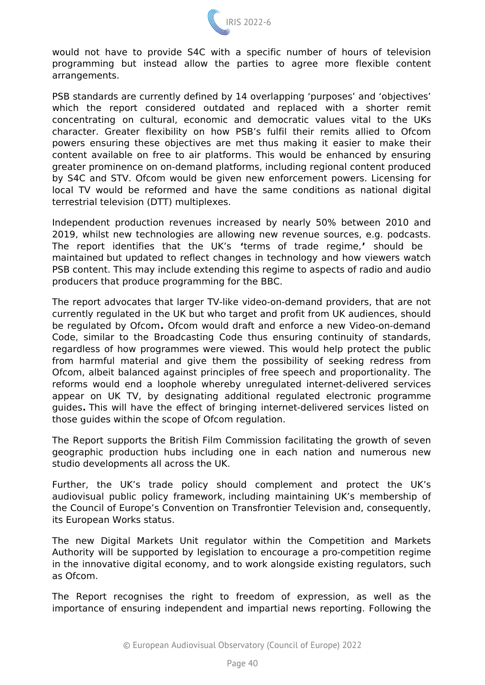

would not have to provide S4C with a specific number of hours of television programming but instead allow the parties to agree more flexible content arrangements.

PSB standards are currently defined by 14 overlapping 'purposes' and 'objectives' which the report considered outdated and replaced with a shorter remit concentrating on cultural, economic and democratic values vital to the UKs character. Greater flexibility on how PSB's fulfil their remits allied to Ofcom powers ensuring these objectives are met thus making it easier to make their content available on free to air platforms. This would be enhanced by ensuring greater prominence on on-demand platforms, including regional content produced by S4C and STV. Ofcom would be given new enforcement powers. Licensing for local TV would be reformed and have the same conditions as national digital terrestrial television (DTT) multiplexes.

Independent production revenues increased by nearly 50% between 2010 and 2019, whilst new technologies are allowing new revenue sources, e.g. podcasts. The report identifies that the UK's **'**terms of trade regime,**'** should be maintained but updated to reflect changes in technology and how viewers watch PSB content. This may include extending this regime to aspects of radio and audio producers that produce programming for the BBC.

The report advocates that larger TV-like video-on-demand providers, that are not currently regulated in the UK but who target and profit from UK audiences, should be regulated by Ofcom**.** Ofcom would draft and enforce a new Video-on-demand Code, similar to the Broadcasting Code thus ensuring continuity of standards, regardless of how programmes were viewed. This would help protect the public from harmful material and give them the possibility of seeking redress from Ofcom, albeit balanced against principles of free speech and proportionality. The reforms would end a loophole whereby unregulated internet-delivered services appear on UK TV, by designating additional regulated electronic programme guides**.** This will have the effect of bringing internet-delivered services listed on those guides within the scope of Ofcom regulation.

The Report supports the British Film Commission facilitating the growth of seven geographic production hubs including one in each nation and numerous new studio developments all across the UK.

Further, the UK's trade policy should complement and protect the UK's audiovisual public policy framework, including maintaining UK's membership of the Council of Europe's Convention on Transfrontier Television and, consequently, its European Works status.

The new Digital Markets Unit regulator within the Competition and Markets Authority will be supported by legislation to encourage a pro-competition regime in the innovative digital economy, and to work alongside existing regulators, such as Ofcom.

The Report recognises the right to freedom of expression, as well as the importance of ensuring independent and impartial news reporting. Following the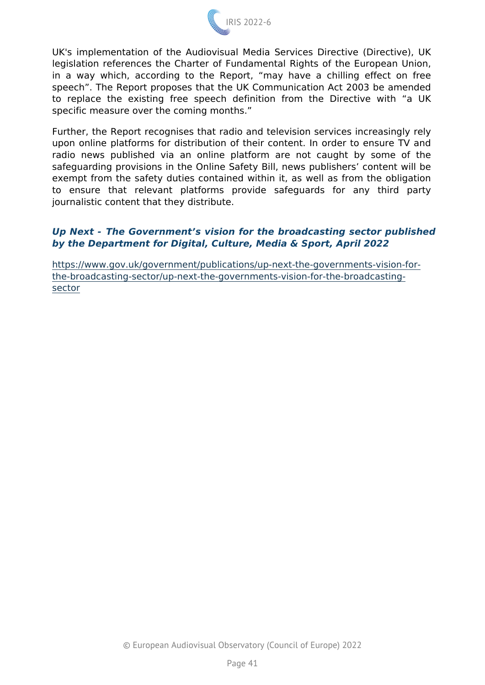UK's implementation of the Audiovisual Media Services Directiv legislation references the Charter of Fundamental Rights of the in a way which, according to the Report, may have a chil speech. The Report proposes that the UK Communication Act 20 to replace the existing free speech definition from the Dir specific measure over the coming months.

Further, the Report recognises that radio and television services upon online platforms for distribution of their content. In order radio news published via an online platform are not caugh safeguarding provisions in the Online Safety Bill, news publisher exempt from the safety duties contained within it, as well as fr to ensure that relevant platforms provide safeguards for journalistic content that they distribute.þÿ

Up Next -py The Government s vision for the broadcasting sector by the Department for Digital, Culture, Media & Sport, April 2022

[https://www.gov.uk/government/publications/up-next-the-g](https://www.gov.uk/government/publications/up-next-the-governments-vision-for-the-broadcasting-sector/up-next-the-governments-vision-for-the-broadcasting-sector)overnmen [the-broadcasting-sector/up-next-the-governments-vision](https://www.gov.uk/government/publications/up-next-the-governments-vision-for-the-broadcasting-sector/up-next-the-governments-vision-for-the-broadcasting-sector)-for-the-bro [sect](https://www.gov.uk/government/publications/up-next-the-governments-vision-for-the-broadcasting-sector/up-next-the-governments-vision-for-the-broadcasting-sector)or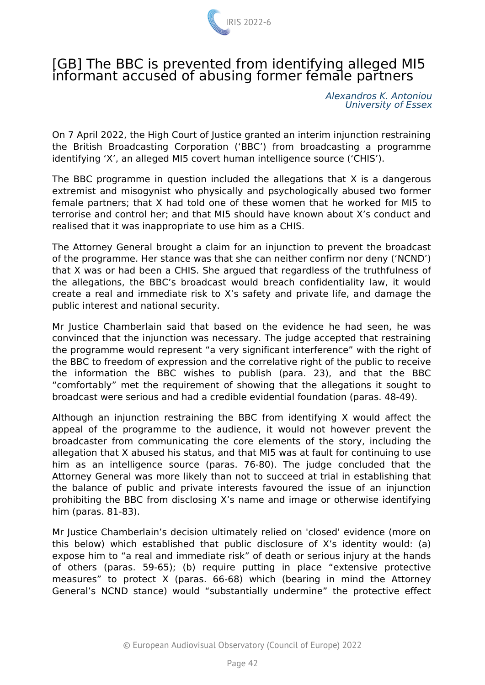

## <span id="page-41-0"></span>[GB] The BBC is prevented from identifying alleged MI5 informant accused of abusing former female partners

*Alexandros K. Antoniou University of Essex*

On 7 April 2022, the High Court of Justice granted an interim injunction restraining the British Broadcasting Corporation ('BBC') from broadcasting a programme identifying 'X', an alleged MI5 covert human intelligence source ('CHIS').

The BBC programme in question included the allegations that X is a dangerous extremist and misogynist who physically and psychologically abused two former female partners; that X had told one of these women that he worked for MI5 to terrorise and control her; and that MI5 should have known about X's conduct and realised that it was inappropriate to use him as a CHIS.

The Attorney General brought a claim for an injunction to prevent the broadcast of the programme. Her stance was that she can neither confirm nor deny ('NCND') that X was or had been a CHIS. She argued that regardless of the truthfulness of the allegations, the BBC's broadcast would breach confidentiality law, it would create a real and immediate risk to X's safety and private life, and damage the public interest and national security.

Mr Justice Chamberlain said that based on the evidence he had seen, he was convinced that the injunction was necessary. The judge accepted that restraining the programme would represent "a very significant interference" with the right of the BBC to freedom of expression and the correlative right of the public to receive the information the BBC wishes to publish (para. 23), and that the BBC "comfortably" met the requirement of showing that the allegations it sought to broadcast were serious and had a credible evidential foundation (paras. 48-49).

Although an injunction restraining the BBC from identifying X would affect the appeal of the programme to the audience, it would not however prevent the broadcaster from communicating the core elements of the story, including the allegation that X abused his status, and that MI5 was at fault for continuing to use him as an intelligence source (paras. 76-80). The judge concluded that the Attorney General was more likely than not to succeed at trial in establishing that the balance of public and private interests favoured the issue of an injunction prohibiting the BBC from disclosing X's name and image or otherwise identifying him (paras. 81-83).

Mr Justice Chamberlain's decision ultimately relied on 'closed' evidence (more on this below) which established that public disclosure of X's identity would: (a) expose him to "a real and immediate risk" of death or serious injury at the hands of others (paras. 59-65); (b) require putting in place "extensive protective measures" to protect X (paras. 66-68) which (bearing in mind the Attorney General's NCND stance) would "substantially undermine" the protective effect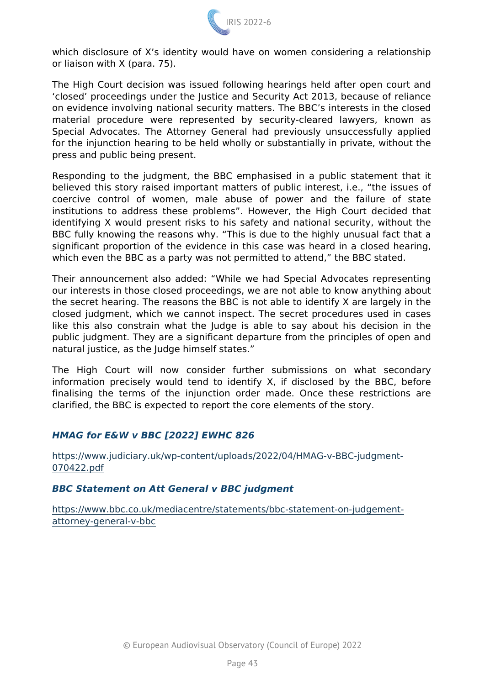which disclosure of  $X$  s identity would have on women consideri or liaison with X (para. 75).

The High Court decision was issued following hearings held after closed proceedings under the Justice and Security Act 2013, be on evidence involving national security matters. The BBC s intere material procedure were represented by security-cleared la Special Advocates. The Attorney General had previously unsud for the injunction hearing to be held wholly or substantially in pr press and public being present.

Responding to the judgment, the BBC emphasised in a public believed this story raised important matters of public interest, i. coercive control of women, male abuse of power and th institutions to address these problems. However, the High C identifying X would present risks to his safety and national sed BBC fully knowing the reasons why. This is due to the highly unusual significant proportion of the evidence in this case was heard in which even the BBC as a party was not permitted to attend, the B

Their announcement also added: While we had Special Advoca our interests in those closed proceedings, we are not able to know the secret hearing. The reasons the BBC is not able to identify X closed judgment, which we cannot inspect. The secret procedure like this also constrain what the Judge is able to say about public judgment. They are a significant departure from the princi natural justice, as the Judge himself states.

The High Court will now consider further submissions o information precisely would tend to identify X, if disclosed b finalising the terms of the injunction order made. Once these clarified, the BBC is expected to report the core elements of the s

HMAG for E&W v BBC [2022] EWHC 826

[https://www.judiciary.uk/wp-content/uploads/2022/04/H](https://www.judiciary.uk/wp-content/uploads/2022/04/HMAG-v-BBC-judgment-070422.pdf)MAG-v-BBC-j [070422.](https://www.judiciary.uk/wp-content/uploads/2022/04/HMAG-v-BBC-judgment-070422.pdf)pdf

BBC Statement on Att General v BBC judgment

[https://www.bbc.co.uk/mediacentre/statements/bbc-stat](https://www.bbc.co.uk/mediacentre/statements/bbc-statement-on-judgement-attorney-general-v-bbc)ement-on-jud [attorney-general](https://www.bbc.co.uk/mediacentre/statements/bbc-statement-on-judgement-attorney-general-v-bbc)-v-bbc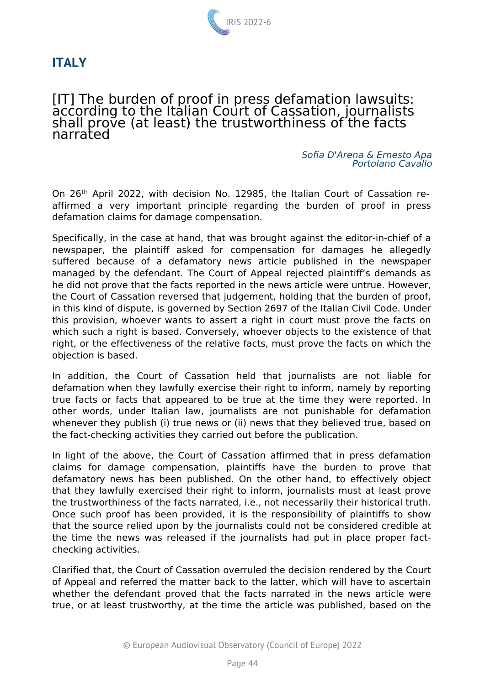

## <span id="page-43-0"></span>**ITALY**

### [IT] The burden of proof in press defamation lawsuits: according to the Italian Court of Cassation, journalists shall prove (at least) the trustworthiness of the facts narrated

*Sofia D'Arena & Ernesto Apa Portolano Cavallo*

On 26th April 2022, with decision No. 12985, the Italian Court of Cassation reaffirmed a very important principle regarding the burden of proof in press defamation claims for damage compensation.

Specifically, in the case at hand, that was brought against the editor-in-chief of a newspaper, the plaintiff asked for compensation for damages he allegedly suffered because of a defamatory news article published in the newspaper managed by the defendant. The Court of Appeal rejected plaintiff's demands as he did not prove that the facts reported in the news article were untrue. However, the Court of Cassation reversed that judgement, holding that the burden of proof, in this kind of dispute, is governed by Section 2697 of the Italian Civil Code. Under this provision, whoever wants to assert a right in court must prove the facts on which such a right is based. Conversely, whoever objects to the existence of that right, or the effectiveness of the relative facts, must prove the facts on which the objection is based.

In addition, the Court of Cassation held that journalists are not liable for defamation when they lawfully exercise their right to inform, namely by reporting true facts or facts that appeared to be true at the time they were reported. In other words, under Italian law, journalists are not punishable for defamation whenever they publish (i) true news or (ii) news that they believed true, based on the fact-checking activities they carried out before the publication.

In light of the above, the Court of Cassation affirmed that in press defamation claims for damage compensation, plaintiffs have the burden to prove that defamatory news has been published. On the other hand, to effectively object that they lawfully exercised their right to inform, journalists must at least prove the trustworthiness of the facts narrated, i.e., not necessarily their historical truth. Once such proof has been provided, it is the responsibility of plaintiffs to show that the source relied upon by the journalists could not be considered credible at the time the news was released if the journalists had put in place proper factchecking activities.

Clarified that, the Court of Cassation overruled the decision rendered by the Court of Appeal and referred the matter back to the latter, which will have to ascertain whether the defendant proved that the facts narrated in the news article were true, or at least trustworthy, at the time the article was published, based on the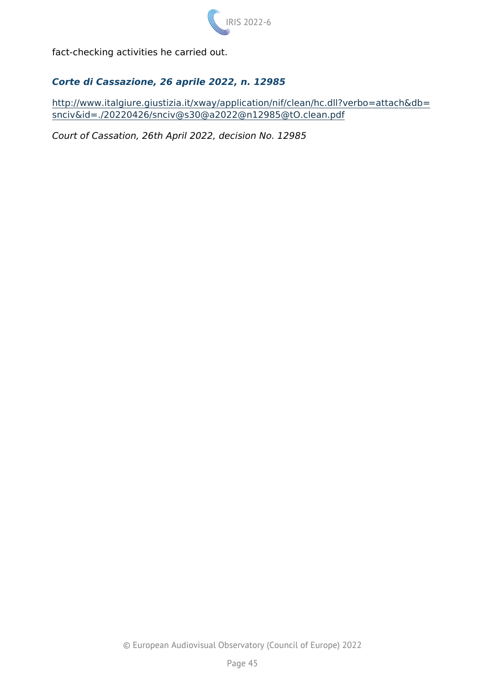fact-checking activities he carried out.

Corte di Cassazione, 26 aprile 2022, n. 12985

[http://www.italgiure.giustizia.it/xway/application/nif/clean/](http://www.italgiure.giustizia.it/xway/application/nif/clean/hc.dll?verbo=attach&db=snciv&id=./20220426/snciv@s30@a2022@n12985@tO.clean.pdf)hc.dll?ve [snciv&id=./20220426/snciv@s30@a2022@n129](http://www.italgiure.giustizia.it/xway/application/nif/clean/hc.dll?verbo=attach&db=snciv&id=./20220426/snciv@s30@a2022@n12985@tO.clean.pdf)85@tO.clean.pdf

Court of Cassation, 26th April 2022, decision No. 12985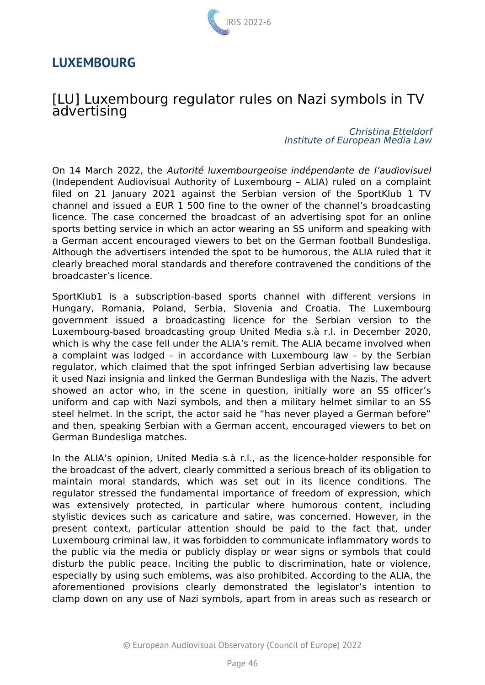

## <span id="page-45-0"></span>**LUXEMBOURG**

## [LU] Luxembourg regulator rules on Nazi symbols in TV advertising

#### *Christina Etteldorf Institute of European Media Law*

On 14 March 2022, the *Autorité luxembourgeoise indépendante de l'audiovisuel* (Independent Audiovisual Authority of Luxembourg – ALIA) ruled on a complaint filed on 21 January 2021 against the Serbian version of the SportKlub 1 TV channel and issued a EUR 1 500 fine to the owner of the channel's broadcasting licence. The case concerned the broadcast of an advertising spot for an online sports betting service in which an actor wearing an SS uniform and speaking with a German accent encouraged viewers to bet on the German football Bundesliga. Although the advertisers intended the spot to be humorous, the ALIA ruled that it clearly breached moral standards and therefore contravened the conditions of the broadcaster's licence.

SportKlub1 is a subscription-based sports channel with different versions in Hungary, Romania, Poland, Serbia, Slovenia and Croatia. The Luxembourg government issued a broadcasting licence for the Serbian version to the Luxembourg-based broadcasting group United Media s.à r.l. in December 2020, which is why the case fell under the ALIA's remit. The ALIA became involved when a complaint was lodged – in accordance with Luxembourg law – by the Serbian regulator, which claimed that the spot infringed Serbian advertising law because it used Nazi insignia and linked the German Bundesliga with the Nazis. The advert showed an actor who, in the scene in question, initially wore an SS officer's uniform and cap with Nazi symbols, and then a military helmet similar to an SS steel helmet. In the script, the actor said he "has never played a German before" and then, speaking Serbian with a German accent, encouraged viewers to bet on German Bundesliga matches.

In the ALIA's opinion, United Media s.à r.l., as the licence-holder responsible for the broadcast of the advert, clearly committed a serious breach of its obligation to maintain moral standards, which was set out in its licence conditions. The regulator stressed the fundamental importance of freedom of expression, which was extensively protected, in particular where humorous content, including stylistic devices such as caricature and satire, was concerned. However, in the present context, particular attention should be paid to the fact that, under Luxembourg criminal law, it was forbidden to communicate inflammatory words to the public via the media or publicly display or wear signs or symbols that could disturb the public peace. Inciting the public to discrimination, hate or violence, especially by using such emblems, was also prohibited. According to the ALIA, the aforementioned provisions clearly demonstrated the legislator's intention to clamp down on any use of Nazi symbols, apart from in areas such as research or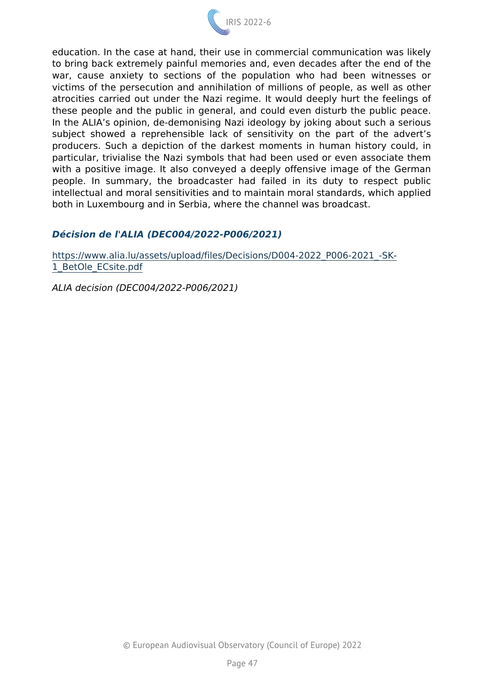education. In the case at hand, their use in commercial communito bring back extremely painful memories and, even decades afte war, cause anxiety to sections of the population who had victims of the persecution and annihilation of millions of people atrocities carried out under the Nazi regime. It would deeply hu these people and the public in general, and could even disturb In the ALIA s opinion, de-demonising Nazi ideology by joking about subject showed a reprehensible lack of sensitivity on the pa producers. Such a depiction of the darkest moments in human particular, trivialise the Nazi symbols that had been used or eve with a positive image. It also conveyed a deeply offensive image people. In summary, the broadcaster had failed in its duty intellectual and moral sensitivities and to maintain moral standard both in Luxembourg and in Serbia, where the channel was broadca

#### Décision de l'ALIA (DEC004/2022-P006/2021)

[https://www.alia.lu/assets/upload/files/Decisions/D004](https://www.alia.lu/assets/upload/files/Decisions/D004-2022_P006-2021_-SK-1_BetOle_ECsite.pdf)-2022\_P006-2 [1\\_BetOle\\_ECs](https://www.alia.lu/assets/upload/files/Decisions/D004-2022_P006-2021_-SK-1_BetOle_ECsite.pdf)ite.pdf

ALIA decision (DEC004/2022-P006/2021)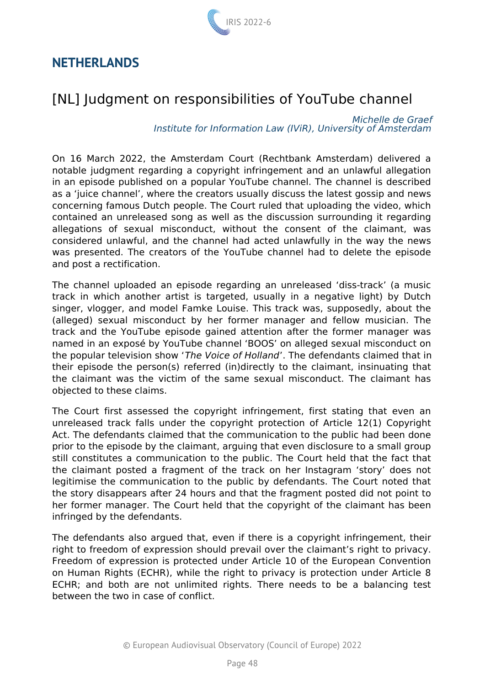

## <span id="page-47-0"></span>**NETHERLANDS**

## [NL] Judgment on responsibilities of YouTube channel

#### *Michelle de Graef Institute for Information Law (IViR), University of Amsterdam*

On 16 March 2022, the Amsterdam Court (Rechtbank Amsterdam) delivered a notable judgment regarding a copyright infringement and an unlawful allegation in an episode published on a popular YouTube channel. The channel is described as a 'juice channel', where the creators usually discuss the latest gossip and news concerning famous Dutch people. The Court ruled that uploading the video, which contained an unreleased song as well as the discussion surrounding it regarding allegations of sexual misconduct, without the consent of the claimant, was considered unlawful, and the channel had acted unlawfully in the way the news was presented. The creators of the YouTube channel had to delete the episode and post a rectification.

The channel uploaded an episode regarding an unreleased 'diss-track' (a music track in which another artist is targeted, usually in a negative light) by Dutch singer, vlogger, and model Famke Louise. This track was, supposedly, about the (alleged) sexual misconduct by her former manager and fellow musician. The track and the YouTube episode gained attention after the former manager was named in an exposé by YouTube channel 'BOOS' on alleged sexual misconduct on the popular television show '*The Voice of Holland*'. The defendants claimed that in their episode the person(s) referred (in)directly to the claimant, insinuating that the claimant was the victim of the same sexual misconduct. The claimant has objected to these claims.

The Court first assessed the copyright infringement, first stating that even an unreleased track falls under the copyright protection of Article 12(1) Copyright Act. The defendants claimed that the communication to the public had been done prior to the episode by the claimant, arguing that even disclosure to a small group still constitutes a communication to the public. The Court held that the fact that the claimant posted a fragment of the track on her Instagram 'story' does not legitimise the communication to the public by defendants. The Court noted that the story disappears after 24 hours and that the fragment posted did not point to her former manager. The Court held that the copyright of the claimant has been infringed by the defendants.

The defendants also argued that, even if there is a copyright infringement, their right to freedom of expression should prevail over the claimant's right to privacy. Freedom of expression is protected under Article 10 of the European Convention on Human Rights (ECHR), while the right to privacy is protection under Article 8 ECHR; and both are not unlimited rights. There needs to be a balancing test between the two in case of conflict.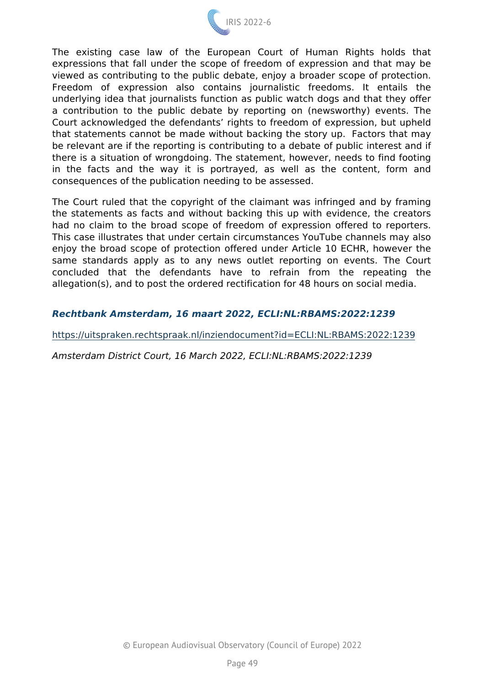The existing case law of the European Court of Human expressions that fall under the scope of freedom of expression viewed as contributing to the public debate, enjoy a broader sco Freedom of expression also contains journalistic freedom underlying idea that journalists function as public watch dogs are a contribution to the public debate by reporting on (newswo Court acknowledged the defendants rights to freedom of expres that statements cannot be made without backing the story up. F be relevant are if the reporting is contributing to a debate of pub there is a situation of wrongdoing. The statement, however, need in the facts and the way it is portrayed, as well as the consequences of the publication needing to be assessed.

The Court ruled that the copyright of the claimant was infringe the statements as facts and without backing this up with evide had no claim to the broad scope of freedom of expression offered to  $r_{\text{eff}}$ This case illustrates that under certain circumstances YouTube cl enjoy the broad scope of protection offered under Article 10 EC same standards apply as to any news outlet reporting on  $\epsilon$ concluded that the defendants have to refrain from allegation(s), and to post the ordered rectification for 48 hours or

Rechtbank Amsterdam, 16 maart 2022, ECLI:NL:RBAMS:2022:1239

[https://uitspraken.rechtspraak.nl/inziendocument?id=ECL](https://uitspraken.rechtspraak.nl/inziendocument?id=ECLI:NL:RBAMS:2022:1239)I:NL:RBAM

Amsterdam District Court, 16 March 2022, ECLI:NL:RBAMS:2022:12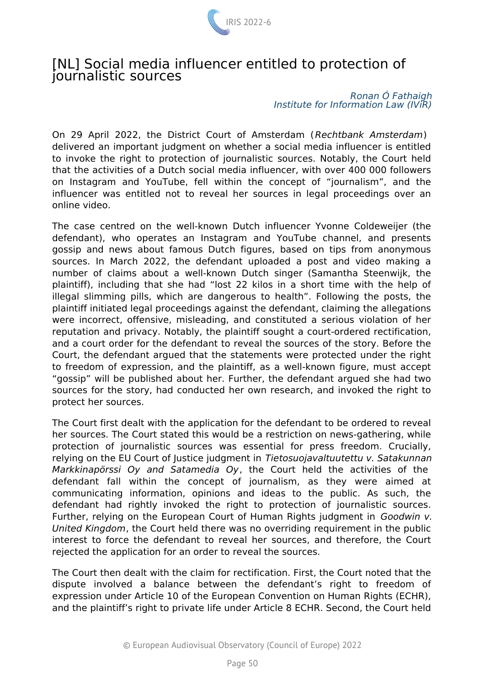

## <span id="page-49-0"></span>[NL] Social media influencer entitled to protection of journalistic sources

*Ronan Ó Fathaigh Institute for Information Law (IViR)*

On 29 April 2022, the District Court of Amsterdam (*Rechtbank Amsterdam*) delivered an important judgment on whether a social media influencer is entitled to invoke the right to protection of journalistic sources. Notably, the Court held that the activities of a Dutch social media influencer, with over 400 000 followers on Instagram and YouTube, fell within the concept of "journalism", and the influencer was entitled not to reveal her sources in legal proceedings over an online video.

The case centred on the well-known Dutch influencer Yvonne Coldeweijer (the defendant), who operates an Instagram and YouTube channel, and presents gossip and news about famous Dutch figures, based on tips from anonymous sources. In March 2022, the defendant uploaded a post and video making a number of claims about a well-known Dutch singer (Samantha Steenwijk, the plaintiff), including that she had "lost 22 kilos in a short time with the help of illegal slimming pills, which are dangerous to health". Following the posts, the plaintiff initiated legal proceedings against the defendant, claiming the allegations were incorrect, offensive, misleading, and constituted a serious violation of her reputation and privacy. Notably, the plaintiff sought a court-ordered rectification, and a court order for the defendant to reveal the sources of the story. Before the Court, the defendant argued that the statements were protected under the right to freedom of expression, and the plaintiff, as a well-known figure, must accept "gossip" will be published about her. Further, the defendant argued she had two sources for the story, had conducted her own research, and invoked the right to protect her sources.

The Court first dealt with the application for the defendant to be ordered to reveal her sources. The Court stated this would be a restriction on news-gathering, while protection of journalistic sources was essential for press freedom. Crucially, relying on the EU Court of Justice judgment in *Tietosuojavaltuutettu v. Satakunnan Markkinapörssi Oy and Satamedia Oy*, the Court held the activities of the defendant fall within the concept of journalism, as they were aimed at communicating information, opinions and ideas to the public. As such, the defendant had rightly invoked the right to protection of journalistic sources. Further, relying on the European Court of Human Rights judgment in *Goodwin v. United Kingdom*, the Court held there was no overriding requirement in the public interest to force the defendant to reveal her sources, and therefore, the Court rejected the application for an order to reveal the sources.

The Court then dealt with the claim for rectification. First, the Court noted that the dispute involved a balance between the defendant's right to freedom of expression under Article 10 of the European Convention on Human Rights (ECHR), and the plaintiff's right to private life under Article 8 ECHR. Second, the Court held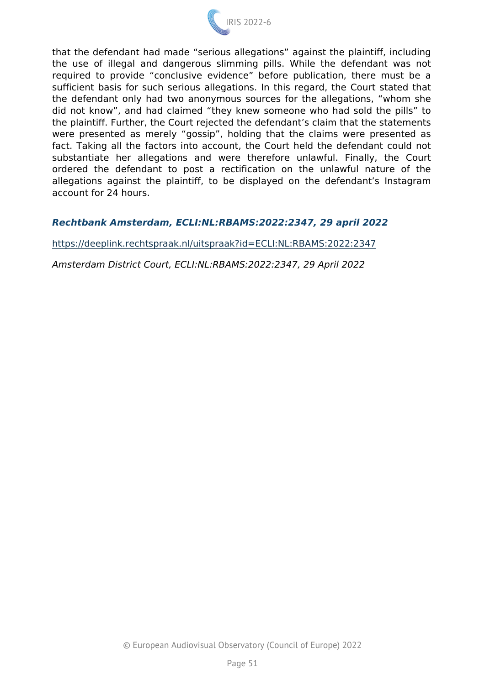that the defendant had made serious allegations against the pl the use of illegal and dangerous slimming pills. While the required to provide conclusive evidence before publication, sufficient basis for such serious allegations. In this regard, the the defendant only had two anonymous sources for the allegations, did not know, and had claimed they knew someone who had s the plaintiff. Further, the Court rejected the defendant s claim that were presented as merely gossip, holding that the claims w fact. Taking all the factors into account, the Court held the de substantiate her allegations and were therefore unlawful. ordered the defendant to post a rectification on the unlav allegations against the plaintiff, to be displayed on the defe account for 24 hours.

Rechtbank Amsterdam, ECLI:NL:RBAMS:2022:2347, 29 april 2022 [https://deeplink.rechtspraak.nl/uitspraak?id=ECLI:](https://deeplink.rechtspraak.nl/uitspraak?id=ECLI:NL:RBAMS:2022:2347)NL:RBAMS:2022:2 Amsterdam District Court, ECLI:NL:RBAMS:2022:2347, 29 April 2022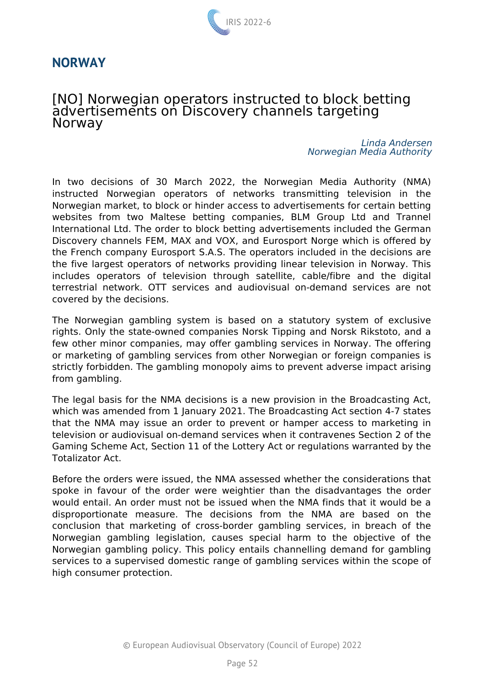

## <span id="page-51-0"></span>**NORWAY**

### [NO] Norwegian operators instructed to block betting advertisements on Discovery channels targeting Norway

*Linda Andersen Norwegian Media Authority*

In two decisions of 30 March 2022, the Norwegian Media Authority (NMA) instructed Norwegian operators of networks transmitting television in the Norwegian market, to block or hinder access to advertisements for certain betting websites from two Maltese betting companies, BLM Group Ltd and Trannel International Ltd. The order to block betting advertisements included the German Discovery channels FEM, MAX and VOX, and Eurosport Norge which is offered by the French company Eurosport S.A.S. The operators included in the decisions are the five largest operators of networks providing linear television in Norway. This includes operators of television through satellite, cable/fibre and the digital terrestrial network. OTT services and audiovisual on-demand services are not covered by the decisions.

The Norwegian gambling system is based on a statutory system of exclusive rights. Only the state-owned companies Norsk Tipping and Norsk Rikstoto, and a few other minor companies, may offer gambling services in Norway. The offering or marketing of gambling services from other Norwegian or foreign companies is strictly forbidden. The gambling monopoly aims to prevent adverse impact arising from gambling.

The legal basis for the NMA decisions is a new provision in the Broadcasting Act, which was amended from 1 January 2021. The Broadcasting Act section 4-7 states that the NMA may issue an order to prevent or hamper access to marketing in television or audiovisual on-demand services when it contravenes Section 2 of the Gaming Scheme Act, Section 11 of the Lottery Act or regulations warranted by the Totalizator Act.

Before the orders were issued, the NMA assessed whether the considerations that spoke in favour of the order were weightier than the disadvantages the order would entail. An order must not be issued when the NMA finds that it would be a disproportionate measure. The decisions from the NMA are based on the conclusion that marketing of cross-border gambling services, in breach of the Norwegian gambling legislation, causes special harm to the objective of the Norwegian gambling policy. This policy entails channelling demand for gambling services to a supervised domestic range of gambling services within the scope of high consumer protection.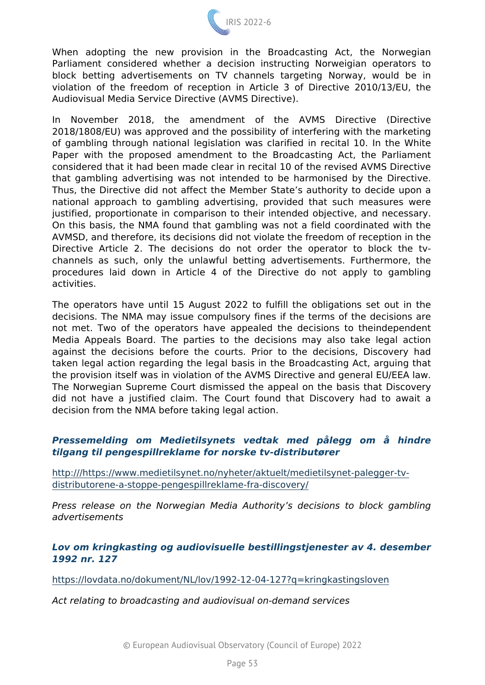When adopting the new provision in the Broadcasting Ad Parliament considered whether a decision instructing Norweig block betting advertisements on TV channels targeting Norw violation of the freedom of reception in Article 3 of Directiv Audiovisual Media Service Directive (AVMS Directive).

In November 2018, the amendment of the AVMS D 2018/1808/EU) was approved and the possibility of interfering wi of gambling through national legislation was clarified in recital Paper with the proposed amendment to the Broadcasting Act considered that it had been made clear in recital 10 of the revise that gambling advertising was not intended to be harmonised b Thus, the Directive did not affect the Member State s authority national approach to gambling advertising, provided that such justified, proportionate in comparison to their intended objective On this basis, the NMA found that gambling was not a field coo AVMSD, and therefore, its decisions did not violate the freedom o Directive Article 2. The decisions do not order the operator channels as such, only the unlawful betting advertisements. procedures laid down in Article 4 of the Directive do not activities.

The operators have until 15 August 2022 to fulfill the obligati decisions. The NMA may issue compulsory fines if the terms of not met. Two of the operators have appealed the decisions t Media Appeals Board. The parties to the decisions may also against the decisions before the courts. Prior to the decision taken legal action regarding the legal basis in the Broadcasting the provision itself was in violation of the AVMS Directive and ge The Norwegian Supreme Court dismissed the appeal on the basi did not have a justified claim. The Court found that Discove decision from the NMA before taking legal action.

Pressemelding om Medietilsynets vedtak med pålegg om tilgang til pengespillreklame for norske tv-distributører

[http:///https://www.medietilsynet.no/nyheter/aktuelt/med](http:///https://www.medietilsynet.no/nyheter/aktuelt/medietilsynet-palegger-tv-distributorene-a-stoppe-pengespillreklame-fra-discovery/)ietilsynet-p [distributorene-a-stoppe-pengespillreklam](http:///https://www.medietilsynet.no/nyheter/aktuelt/medietilsynet-palegger-tv-distributorene-a-stoppe-pengespillreklame-fra-discovery/)e-fra-discovery/

Press release on the Norwegian Media Authority s decisions advertisements

Lov om kringkasting og audiovisuelle bestillingstjenester av 4. de 1992 nr. 127

[https://lovdata.no/dokument/NL/lov/1992-12-04-127?q](https://lovdata.no/dokument/NL/lov/1992-12-04-127?q=kringkastingsloven)=kringkastings

Act relating to broadcasting and audiovisual on-demand services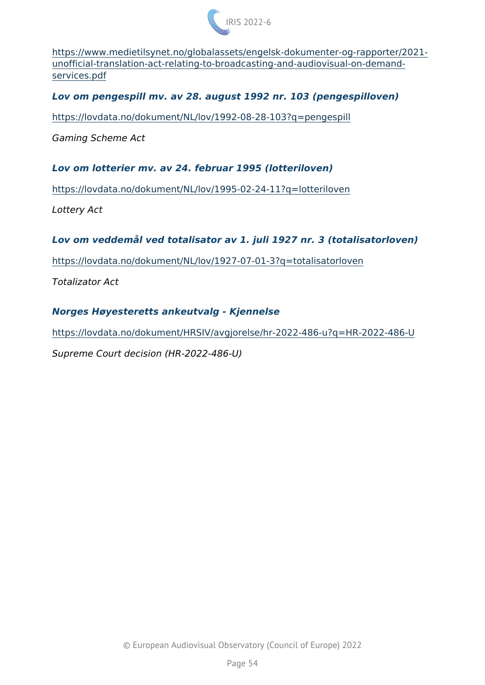[https://www.medietilsynet.no/globalassets/engelsk-dokume](https://www.medietilsynet.no/globalassets/engelsk-dokumenter-og-rapporter/2021-unofficial-translation-act-relating-to-broadcasting-and-audiovisual-on-demand-services.pdf)nter-og-r [unofficial-translation-act-relating-to-broadcasting-and-](https://www.medietilsynet.no/globalassets/engelsk-dokumenter-og-rapporter/2021-unofficial-translation-act-relating-to-broadcasting-and-audiovisual-on-demand-services.pdf)audiovisual[services](https://www.medietilsynet.no/globalassets/engelsk-dokumenter-og-rapporter/2021-unofficial-translation-act-relating-to-broadcasting-and-audiovisual-on-demand-services.pdf).pdf

Lov om pengespill mv. av 28. august 1992 nr. 103 (pengespilloven)

[https://lovdata.no/dokument/NL/lov/1992-08-28](https://lovdata.no/dokument/NL/lov/1992-08-28-103?q=pengespill)-103?q=pengespill

Gaming Scheme Act

Lov om lotterier mv. av 24. februar 1995 (lotteriloven)

[https://lovdata.no/dokument/NL/lov/1995-02-24](https://lovdata.no/dokument/NL/lov/1995-02-24-11?q=lotteriloven)-11?q=lotteriloven

Lottery Act

Lov om veddemål ved totalisator av 1. juli 1927 nr. 3 (totalisatorlo [https://lovdata.no/dokument/NL/lov/1927-07-01-3](https://lovdata.no/dokument/NL/lov/1927-07-01-3?q=totalisatorloven)?q=totalisatorloven

Totalizator Act

Norges Høyesteretts ankeutvalg - Kjennelse

[https://lovdata.no/dokument/HRSIV/avgjorelse/hr-2022-48](https://lovdata.no/dokument/HRSIV/avgjorelse/hr-2022-486-u?q=HR-2022-486-U)6-u?q=HR-2022-486-U

Supreme Court decision (HR-2022-486-U)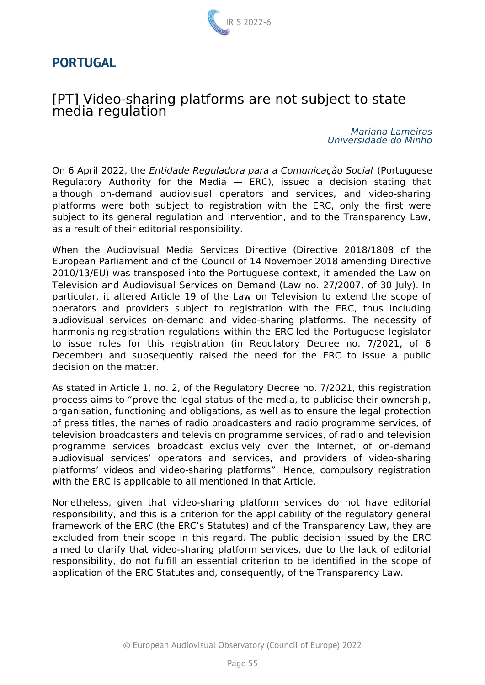

## <span id="page-54-0"></span>**PORTUGAL**

## [PT] Video-sharing platforms are not subject to state media regulation

*Mariana Lameiras Universidade do Minho*

On 6 April 2022, the *Entidade Reguladora para a Comunicação Social* (Portuguese Regulatory Authority for the Media  $-$  ERC), issued a decision stating that although on-demand audiovisual operators and services, and video-sharing platforms were both subject to registration with the ERC, only the first were subject to its general regulation and intervention, and to the Transparency Law, as a result of their editorial responsibility.

When the Audiovisual Media Services Directive (Directive 2018/1808 of the European Parliament and of the Council of 14 November 2018 amending Directive 2010/13/EU) was transposed into the Portuguese context, it amended the Law on Television and Audiovisual Services on Demand (Law no. 27/2007, of 30 July). In particular, it altered Article 19 of the Law on Television to extend the scope of operators and providers subject to registration with the ERC, thus including audiovisual services on-demand and video-sharing platforms. The necessity of harmonising registration regulations within the ERC led the Portuguese legislator to issue rules for this registration (in Regulatory Decree no. 7/2021, of 6 December) and subsequently raised the need for the ERC to issue a public decision on the matter.

As stated in Article 1, no. 2, of the Regulatory Decree no. 7/2021, this registration process aims to "prove the legal status of the media, to publicise their ownership, organisation, functioning and obligations, as well as to ensure the legal protection of press titles, the names of radio broadcasters and radio programme services, of television broadcasters and television programme services, of radio and television programme services broadcast exclusively over the Internet, of on-demand audiovisual services' operators and services, and providers of video-sharing platforms' videos and video-sharing platforms". Hence, compulsory registration with the ERC is applicable to all mentioned in that Article.

Nonetheless, given that video-sharing platform services do not have editorial responsibility, and this is a criterion for the applicability of the regulatory general framework of the ERC (the ERC's Statutes) and of the Transparency Law, they are excluded from their scope in this regard. The public decision issued by the ERC aimed to clarify that video-sharing platform services, due to the lack of editorial responsibility, do not fulfill an essential criterion to be identified in the scope of application of the ERC Statutes and, consequently, of the Transparency Law.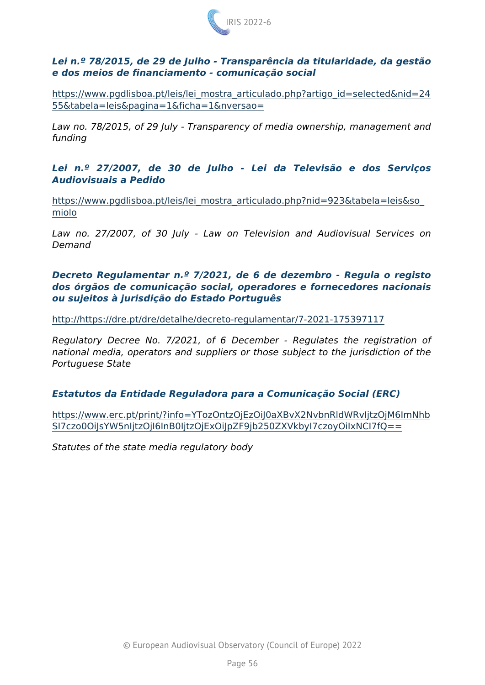Lei n.º 78/2015, de 29 de Julho - Transparência da titularidade, d e dos meios de financiamento - comunicação social

[https://www.pgdlisboa.pt/leis/lei\\_mostra\\_articulado.php?ar](https://www.pgdlisboa.pt/leis/lei_mostra_articulado.php?artigo_id=selected&nid=2455&tabela=leis&pagina=1&ficha=1&nversao=)tigo\_id=s [55&tabela=leis&pagina=1&ficha=1](https://www.pgdlisboa.pt/leis/lei_mostra_articulado.php?artigo_id=selected&nid=2455&tabela=leis&pagina=1&ficha=1&nversao=)&nversao=

Law no. 78/2015, of 29 July - Transparency of media ownership, r funding

Lei n.º 27/2007, de 30 de Julho - Lei da Televisão e Audiovisuais a Pedido

[https://www.pgdlisboa.pt/leis/lei\\_mostra\\_articulado.php?n](https://www.pgdlisboa.pt/leis/lei_mostra_articulado.php?nid=923&tabela=leis&so_miolo)id=923&ta [miol](https://www.pgdlisboa.pt/leis/lei_mostra_articulado.php?nid=923&tabela=leis&so_miolo)o

Law no. 27/2007, of 30 July - Law on Television and Audi Demand

Decreto Regulamentar n.º 7/2021, de 6 de dezembro - Regula o dos órgãos de comunicação social, operadores e fornecedores n ou sujeitos à jurisdição do Estado Português

[http://https://dre.pt/dre/detalhe/decreto-regulamenta](http://https://dre.pt/dre/detalhe/decreto-regulamentar/7-2021-175397117)r/7-2021-17539

Regulatory Decree No. 7/2021, of 6 December - Regulates the national media, operators and suppliers or those subject to the Portuguese State

Estatutos da Entidade Reguladora para a Comunicação Social (ER

[https://www.erc.pt/print/?info=YTozOntzOjEzOiJ0aXBvX2Nv](https://www.erc.pt/print/?info=YTozOntzOjEzOiJ0aXBvX2NvbnRldWRvIjtzOjM6ImNhbSI7czo0OiJsYW5nIjtzOjI6InB0IjtzOjExOiJpZF9jb250ZXVkbyI7czoyOiIxNCI7fQ==)bnRldWR SI7czo0OiJsYW5nljtzOjI6InB0IjtzOjExOiJpZF9jb250ZXVkbyI7czoyOiI

Statutes of the state media regulatory body